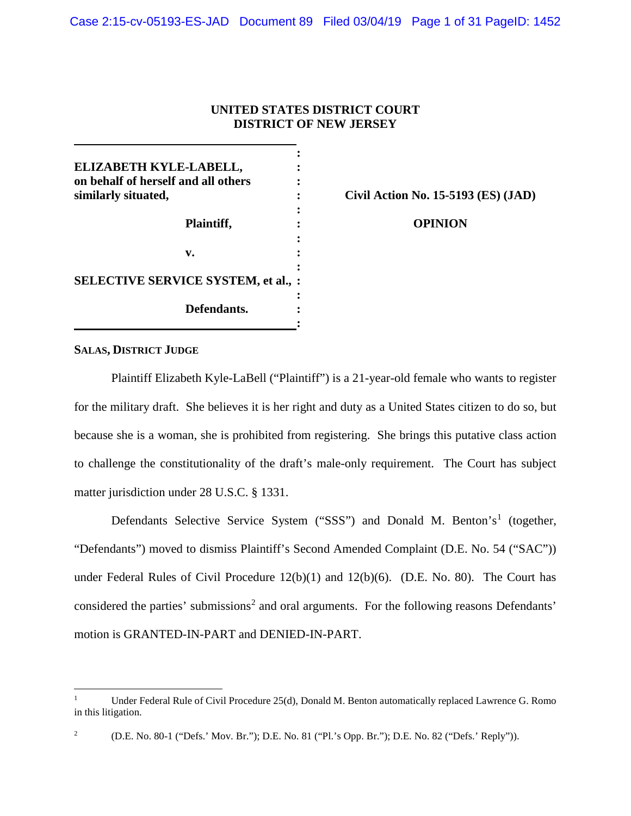# **UNITED STATES DISTRICT COURT DISTRICT OF NEW JERSEY**

| ELIZABETH KYLE-LABELL,              |  |
|-------------------------------------|--|
| on behalf of herself and all others |  |
| similarly situated,                 |  |
|                                     |  |
| Plaintiff,                          |  |
|                                     |  |
| v.                                  |  |
|                                     |  |
| SELECTIVE SERVICE SYSTEM, et al.,   |  |
|                                     |  |
| Defendants.                         |  |
|                                     |  |

**Civil Action No. 15-5193 (ES) (JAD)**

**OPINION**

## **SALAS, DISTRICT JUDGE**

Plaintiff Elizabeth Kyle-LaBell ("Plaintiff") is a 21-year-old female who wants to register for the military draft. She believes it is her right and duty as a United States citizen to do so, but because she is a woman, she is prohibited from registering. She brings this putative class action to challenge the constitutionality of the draft's male-only requirement. The Court has subject matter jurisdiction under 28 U.S.C. § 1331.

Defendants Selective Service System ("SSS") and Donald M. Benton's<sup>1</sup> (together, "Defendants") moved to dismiss Plaintiff's Second Amended Complaint (D.E. No. 54 ("SAC")) under Federal Rules of Civil Procedure 12(b)(1) and 12(b)(6). (D.E. No. 80). The Court has considered the parties' submissions<sup>2</sup> and oral arguments. For the following reasons Defendants' motion is GRANTED-IN-PART and DENIED-IN-PART.

l

<sup>1</sup> Under Federal Rule of Civil Procedure 25(d), Donald M. Benton automatically replaced Lawrence G. Romo in this litigation.

<sup>2</sup>

 <sup>(</sup>D.E. No. 80-1 ("Defs.' Mov. Br."); D.E. No. 81 ("Pl.'s Opp. Br."); D.E. No. 82 ("Defs.' Reply")).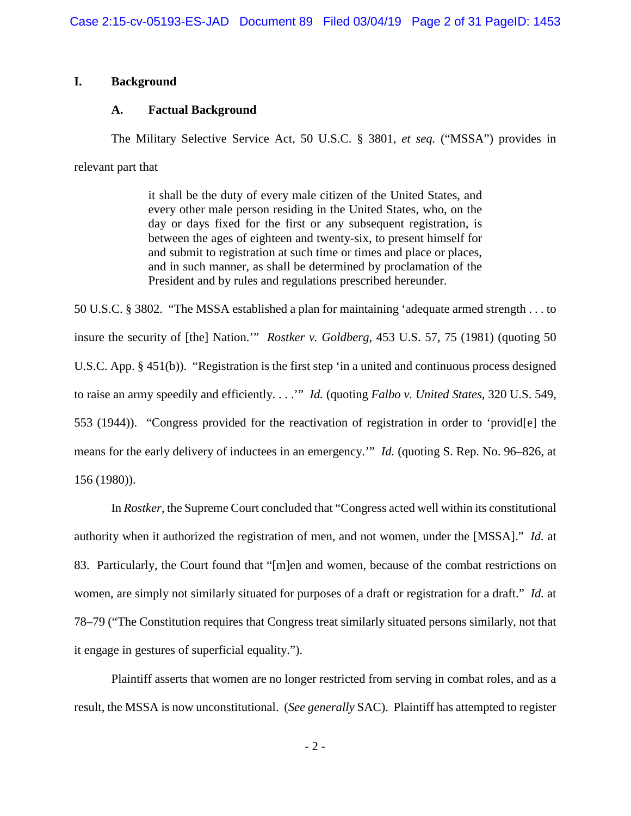# **I. Background**

# **A. Factual Background**

The Military Selective Service Act, 50 U.S.C. § 3801, *et seq.* ("MSSA") provides in relevant part that

> it shall be the duty of every male citizen of the United States, and every other male person residing in the United States, who, on the day or days fixed for the first or any subsequent registration, is between the ages of eighteen and twenty-six, to present himself for and submit to registration at such time or times and place or places, and in such manner, as shall be determined by proclamation of the President and by rules and regulations prescribed hereunder.

50 U.S.C. § 3802. "The MSSA established a plan for maintaining 'adequate armed strength . . . to insure the security of [the] Nation.'" *Rostker v. Goldberg*, 453 U.S. 57, 75 (1981) (quoting 50 U.S.C. App. § 451(b)). "Registration is the first step 'in a united and continuous process designed to raise an army speedily and efficiently. . . .'" *Id.* (quoting *Falbo v. United States*, 320 U.S. 549, 553 (1944)). "Congress provided for the reactivation of registration in order to 'provid[e] the means for the early delivery of inductees in an emergency.'" *Id.* (quoting S. Rep. No. 96–826, at 156 (1980)).

In *Rostker*, the Supreme Court concluded that "Congress acted well within its constitutional authority when it authorized the registration of men, and not women, under the [MSSA]." *Id.* at 83. Particularly, the Court found that "[m]en and women, because of the combat restrictions on women, are simply not similarly situated for purposes of a draft or registration for a draft." *Id.* at 78–79 ("The Constitution requires that Congress treat similarly situated persons similarly, not that it engage in gestures of superficial equality.").

Plaintiff asserts that women are no longer restricted from serving in combat roles, and as a result, the MSSA is now unconstitutional. (*See generally* SAC). Plaintiff has attempted to register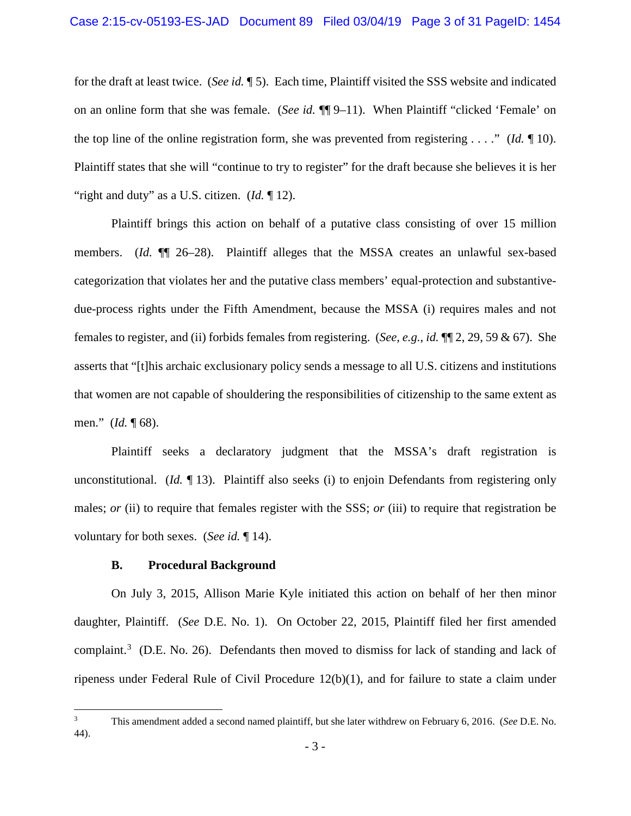for the draft at least twice. (*See id.* ¶ 5). Each time, Plaintiff visited the SSS website and indicated on an online form that she was female. (*See id.* ¶¶ 9–11). When Plaintiff "clicked 'Female' on the top line of the online registration form, she was prevented from registering . . . ." (*Id.* ¶ 10). Plaintiff states that she will "continue to try to register" for the draft because she believes it is her "right and duty" as a U.S. citizen. (*Id.* 12).

Plaintiff brings this action on behalf of a putative class consisting of over 15 million members. (*Id.* ¶¶ 26–28). Plaintiff alleges that the MSSA creates an unlawful sex-based categorization that violates her and the putative class members' equal-protection and substantivedue-process rights under the Fifth Amendment, because the MSSA (i) requires males and not females to register, and (ii) forbids females from registering. (*See, e.g.*, *id.* ¶¶ 2, 29, 59 & 67). She asserts that "[t]his archaic exclusionary policy sends a message to all U.S. citizens and institutions that women are not capable of shouldering the responsibilities of citizenship to the same extent as men." (*Id.* ¶ 68).

Plaintiff seeks a declaratory judgment that the MSSA's draft registration is unconstitutional. (*Id.* 13). Plaintiff also seeks (i) to enjoin Defendants from registering only males; *or* (ii) to require that females register with the SSS; *or* (iii) to require that registration be voluntary for both sexes. (*See id.* ¶ 14).

## **B. Procedural Background**

On July 3, 2015, Allison Marie Kyle initiated this action on behalf of her then minor daughter, Plaintiff. (*See* D.E. No. 1). On October 22, 2015, Plaintiff filed her first amended complaint.<sup>3</sup> (D.E. No. 26). Defendants then moved to dismiss for lack of standing and lack of ripeness under Federal Rule of Civil Procedure 12(b)(1), and for failure to state a claim under

<sup>&</sup>lt;sup>2</sup><br>3 This amendment added a second named plaintiff, but she later withdrew on February 6, 2016. (*See* D.E. No. 44).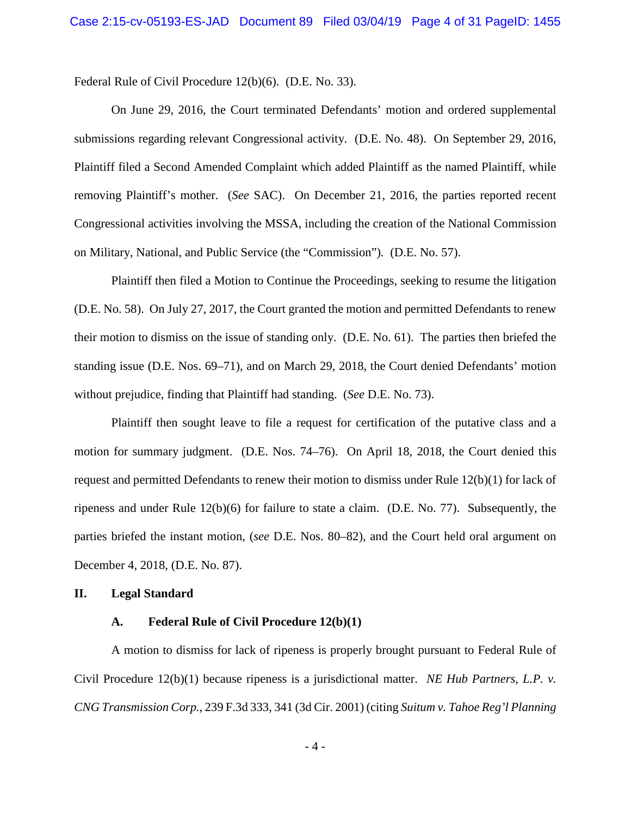Federal Rule of Civil Procedure 12(b)(6). (D.E. No. 33).

On June 29, 2016, the Court terminated Defendants' motion and ordered supplemental submissions regarding relevant Congressional activity. (D.E. No. 48). On September 29, 2016, Plaintiff filed a Second Amended Complaint which added Plaintiff as the named Plaintiff, while removing Plaintiff's mother. (*See* SAC). On December 21, 2016, the parties reported recent Congressional activities involving the MSSA, including the creation of the National Commission on Military, National, and Public Service (the "Commission")*.* (D.E. No. 57).

Plaintiff then filed a Motion to Continue the Proceedings, seeking to resume the litigation (D.E. No. 58). On July 27, 2017, the Court granted the motion and permitted Defendants to renew their motion to dismiss on the issue of standing only. (D.E. No. 61). The parties then briefed the standing issue (D.E. Nos. 69–71), and on March 29, 2018, the Court denied Defendants' motion without prejudice, finding that Plaintiff had standing. (*See* D.E. No. 73).

Plaintiff then sought leave to file a request for certification of the putative class and a motion for summary judgment. (D.E. Nos. 74–76). On April 18, 2018, the Court denied this request and permitted Defendants to renew their motion to dismiss under Rule 12(b)(1) for lack of ripeness and under Rule 12(b)(6) for failure to state a claim. (D.E. No. 77). Subsequently, the parties briefed the instant motion, (*see* D.E. Nos. 80–82), and the Court held oral argument on December 4, 2018, (D.E. No. 87).

## **II. Legal Standard**

### **A. Federal Rule of Civil Procedure 12(b)(1)**

A motion to dismiss for lack of ripeness is properly brought pursuant to Federal Rule of Civil Procedure 12(b)(1) because ripeness is a jurisdictional matter. *NE Hub Partners, L.P. v. CNG Transmission Corp.*, 239 F.3d 333, 341 (3d Cir. 2001) (citing *Suitum v. Tahoe Reg'l Planning*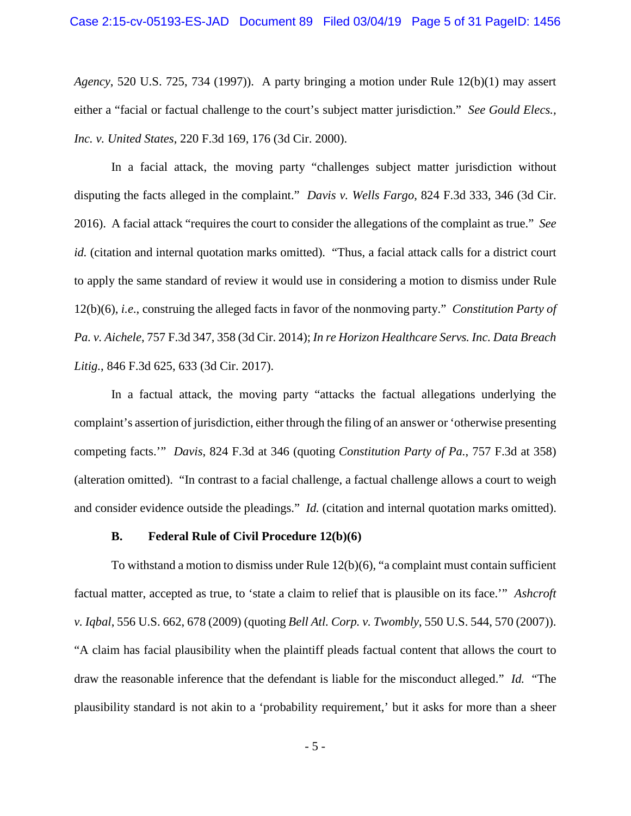*Agency*, 520 U.S. 725, 734 (1997)). A party bringing a motion under Rule 12(b)(1) may assert either a "facial or factual challenge to the court's subject matter jurisdiction." *See Gould Elecs., Inc. v. United States*, 220 F.3d 169, 176 (3d Cir. 2000).

In a facial attack, the moving party "challenges subject matter jurisdiction without disputing the facts alleged in the complaint." *Davis v. Wells Fargo*, 824 F.3d 333, 346 (3d Cir. 2016). A facial attack "requires the court to consider the allegations of the complaint as true." *See id.* (citation and internal quotation marks omitted). "Thus, a facial attack calls for a district court to apply the same standard of review it would use in considering a motion to dismiss under Rule 12(b)(6), *i.e*., construing the alleged facts in favor of the nonmoving party." *Constitution Party of Pa. v. Aichele*, 757 F.3d 347, 358 (3d Cir. 2014); *In re Horizon Healthcare Servs. Inc. Data Breach Litig.*, 846 F.3d 625, 633 (3d Cir. 2017).

In a factual attack, the moving party "attacks the factual allegations underlying the complaint's assertion of jurisdiction, either through the filing of an answer or 'otherwise presenting competing facts.'" *Davis*, 824 F.3d at 346 (quoting *Constitution Party of Pa.*, 757 F.3d at 358) (alteration omitted). "In contrast to a facial challenge, a factual challenge allows a court to weigh and consider evidence outside the pleadings." *Id.* (citation and internal quotation marks omitted).

#### **B. Federal Rule of Civil Procedure 12(b)(6)**

To withstand a motion to dismiss under Rule 12(b)(6), "a complaint must contain sufficient factual matter, accepted as true, to 'state a claim to relief that is plausible on its face.'" *Ashcroft v. Iqbal*, 556 U.S. 662, 678 (2009) (quoting *Bell Atl. Corp. v. Twombly*, 550 U.S. 544, 570 (2007)). "A claim has facial plausibility when the plaintiff pleads factual content that allows the court to draw the reasonable inference that the defendant is liable for the misconduct alleged." *Id.* "The plausibility standard is not akin to a 'probability requirement,' but it asks for more than a sheer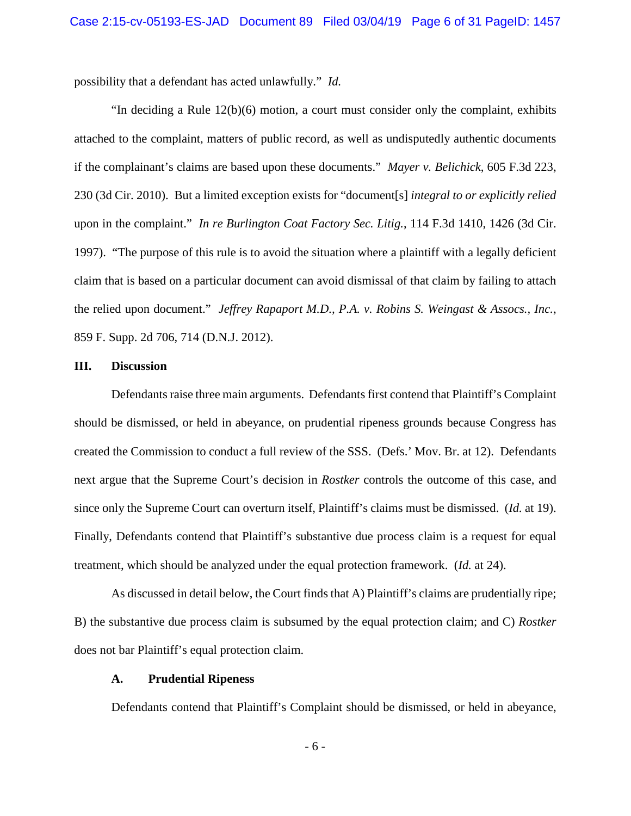possibility that a defendant has acted unlawfully." *Id.*

"In deciding a Rule 12(b)(6) motion, a court must consider only the complaint, exhibits attached to the complaint, matters of public record, as well as undisputedly authentic documents if the complainant's claims are based upon these documents." *Mayer v. Belichick*, 605 F.3d 223, 230 (3d Cir. 2010). But a limited exception exists for "document[s] *integral to or explicitly relied*  upon in the complaint." *In re Burlington Coat Factory Sec. Litig.*, 114 F.3d 1410, 1426 (3d Cir. 1997). "The purpose of this rule is to avoid the situation where a plaintiff with a legally deficient claim that is based on a particular document can avoid dismissal of that claim by failing to attach the relied upon document." *Jeffrey Rapaport M.D., P.A. v. Robins S. Weingast & Assocs., Inc.*, 859 F. Supp. 2d 706, 714 (D.N.J. 2012).

#### **III. Discussion**

Defendants raise three main arguments. Defendants first contend that Plaintiff's Complaint should be dismissed, or held in abeyance, on prudential ripeness grounds because Congress has created the Commission to conduct a full review of the SSS. (Defs.' Mov. Br. at 12). Defendants next argue that the Supreme Court's decision in *Rostker* controls the outcome of this case, and since only the Supreme Court can overturn itself, Plaintiff's claims must be dismissed. (*Id.* at 19). Finally, Defendants contend that Plaintiff's substantive due process claim is a request for equal treatment, which should be analyzed under the equal protection framework. (*Id.* at 24).

As discussed in detail below, the Court finds that A) Plaintiff's claims are prudentially ripe; B) the substantive due process claim is subsumed by the equal protection claim; and C) *Rostker*  does not bar Plaintiff's equal protection claim.

### **A. Prudential Ripeness**

Defendants contend that Plaintiff's Complaint should be dismissed, or held in abeyance,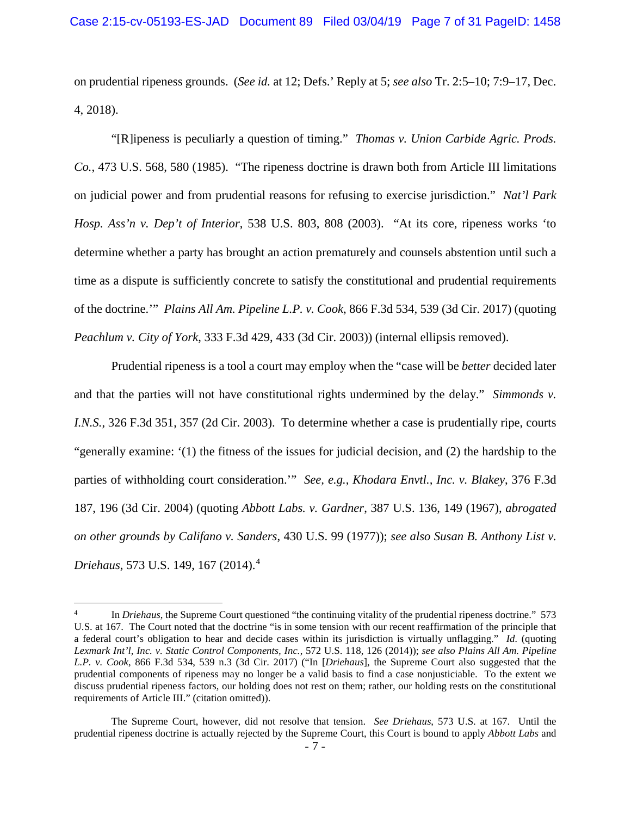on prudential ripeness grounds. (*See id.* at 12; Defs.' Reply at 5; *see also* Tr. 2:5–10; 7:9–17, Dec. 4, 2018).

"[R]ipeness is peculiarly a question of timing." *Thomas v. Union Carbide Agric. Prods. Co.*, 473 U.S. 568, 580 (1985). "The ripeness doctrine is drawn both from Article III limitations on judicial power and from prudential reasons for refusing to exercise jurisdiction." *Nat'l Park Hosp. Ass'n v. Dep't of Interior*, 538 U.S. 803, 808 (2003). "At its core, ripeness works 'to determine whether a party has brought an action prematurely and counsels abstention until such a time as a dispute is sufficiently concrete to satisfy the constitutional and prudential requirements of the doctrine.'" *Plains All Am. Pipeline L.P. v. Cook*, 866 F.3d 534, 539 (3d Cir. 2017) (quoting *Peachlum v. City of York*, 333 F.3d 429, 433 (3d Cir. 2003)) (internal ellipsis removed).

Prudential ripeness is a tool a court may employ when the "case will be *better* decided later and that the parties will not have constitutional rights undermined by the delay." *Simmonds v. I.N.S.*, 326 F.3d 351, 357 (2d Cir. 2003). To determine whether a case is prudentially ripe, courts "generally examine: '(1) the fitness of the issues for judicial decision, and (2) the hardship to the parties of withholding court consideration.'" *See, e.g.*, *Khodara Envtl., Inc. v. Blakey*, 376 F.3d 187, 196 (3d Cir. 2004) (quoting *Abbott Labs. v. Gardner*, 387 U.S. 136, 149 (1967), *abrogated on other grounds by Califano v. Sanders*, 430 U.S. 99 (1977)); *see also Susan B. Anthony List v. Driehaus*, 573 U.S. 149, 167 (2014).<sup>4</sup>

l

<sup>4</sup> In *Driehaus*, the Supreme Court questioned "the continuing vitality of the prudential ripeness doctrine." 573 U.S. at 167. The Court noted that the doctrine "is in some tension with our recent reaffirmation of the principle that a federal court's obligation to hear and decide cases within its jurisdiction is virtually unflagging." *Id.* (quoting *Lexmark Int'l, Inc. v. Static Control Components, Inc.*, 572 U.S. 118, 126 (2014)); *see also Plains All Am. Pipeline L.P. v. Cook*, 866 F.3d 534, 539 n.3 (3d Cir. 2017) ("In [*Driehaus*], the Supreme Court also suggested that the prudential components of ripeness may no longer be a valid basis to find a case nonjusticiable. To the extent we discuss prudential ripeness factors, our holding does not rest on them; rather, our holding rests on the constitutional requirements of Article III." (citation omitted)).

The Supreme Court, however, did not resolve that tension. *See Driehaus*, 573 U.S. at 167. Until the prudential ripeness doctrine is actually rejected by the Supreme Court, this Court is bound to apply *Abbott Labs* and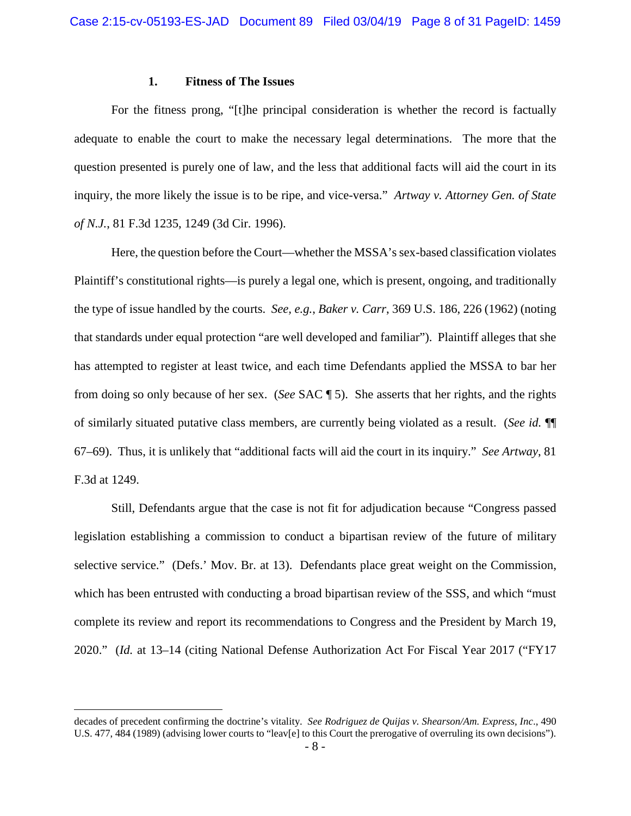### **1. Fitness of The Issues**

For the fitness prong, "[t]he principal consideration is whether the record is factually adequate to enable the court to make the necessary legal determinations. The more that the question presented is purely one of law, and the less that additional facts will aid the court in its inquiry, the more likely the issue is to be ripe, and vice-versa." *Artway v. Attorney Gen. of State of N.J.*, 81 F.3d 1235, 1249 (3d Cir. 1996).

Here, the question before the Court—whether the MSSA's sex-based classification violates Plaintiff's constitutional rights—is purely a legal one, which is present, ongoing, and traditionally the type of issue handled by the courts. *See, e.g.*, *Baker v. Carr*, 369 U.S. 186, 226 (1962) (noting that standards under equal protection "are well developed and familiar"). Plaintiff alleges that she has attempted to register at least twice, and each time Defendants applied the MSSA to bar her from doing so only because of her sex. (*See* SAC ¶ 5). She asserts that her rights, and the rights of similarly situated putative class members, are currently being violated as a result. (*See id.* ¶¶ 67–69). Thus, it is unlikely that "additional facts will aid the court in its inquiry." *See Artway*, 81 F.3d at 1249.

Still, Defendants argue that the case is not fit for adjudication because "Congress passed legislation establishing a commission to conduct a bipartisan review of the future of military selective service." (Defs.' Mov. Br. at 13). Defendants place great weight on the Commission, which has been entrusted with conducting a broad bipartisan review of the SSS, and which "must" complete its review and report its recommendations to Congress and the President by March 19, 2020." (*Id.* at 13–14 (citing National Defense Authorization Act For Fiscal Year 2017 ("FY17

l

decades of precedent confirming the doctrine's vitality. *See Rodriguez de Quijas v. Shearson/Am. Express, Inc*., 490 U.S. 477, 484 (1989) (advising lower courts to "leav[e] to this Court the prerogative of overruling its own decisions").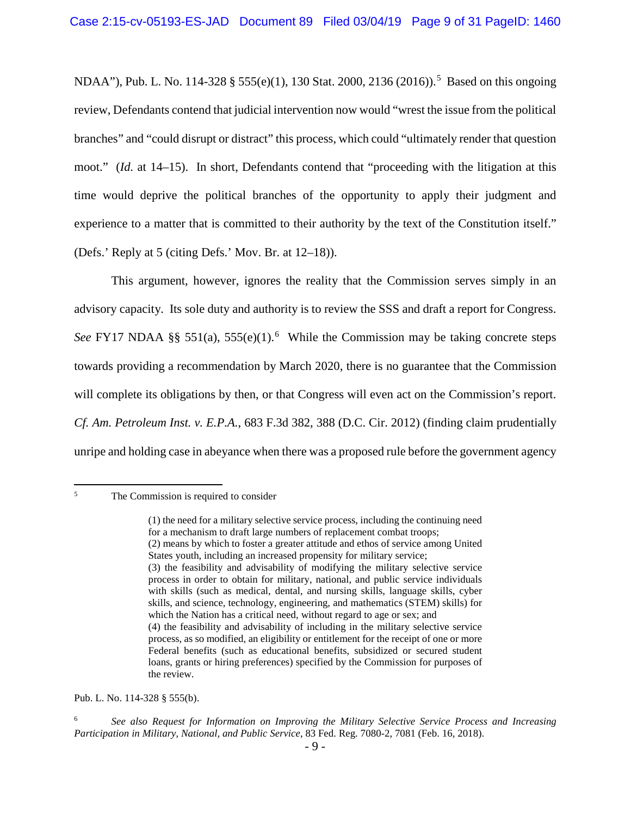NDAA"), Pub. L. No. 114-328 § 555(e)(1), 130 Stat. 2000, 2136 (2016)).<sup>5</sup> Based on this ongoing review, Defendants contend that judicial intervention now would "wrest the issue from the political branches" and "could disrupt or distract" this process, which could "ultimately render that question moot." (*Id.* at 14–15). In short, Defendants contend that "proceeding with the litigation at this time would deprive the political branches of the opportunity to apply their judgment and experience to a matter that is committed to their authority by the text of the Constitution itself." (Defs.' Reply at 5 (citing Defs.' Mov. Br. at 12–18)).

This argument, however, ignores the reality that the Commission serves simply in an advisory capacity. Its sole duty and authority is to review the SSS and draft a report for Congress. See FY17 NDAA §§ 551(a), 555(e)(1).<sup>6</sup> While the Commission may be taking concrete steps towards providing a recommendation by March 2020, there is no guarantee that the Commission will complete its obligations by then, or that Congress will even act on the Commission's report. *Cf. Am. Petroleum Inst. v. E.P.A.*, 683 F.3d 382, 388 (D.C. Cir. 2012) (finding claim prudentially unripe and holding case in abeyance when there was a proposed rule before the government agency

 $\overline{\mathbf{5}}$ The Commission is required to consider

Pub. L. No. 114-328 § 555(b).

<sup>(1)</sup> the need for a military selective service process, including the continuing need for a mechanism to draft large numbers of replacement combat troops; (2) means by which to foster a greater attitude and ethos of service among United States youth, including an increased propensity for military service; (3) the feasibility and advisability of modifying the military selective service process in order to obtain for military, national, and public service individuals with skills (such as medical, dental, and nursing skills, language skills, cyber skills, and science, technology, engineering, and mathematics (STEM) skills) for which the Nation has a critical need, without regard to age or sex; and (4) the feasibility and advisability of including in the military selective service process, as so modified, an eligibility or entitlement for the receipt of one or more Federal benefits (such as educational benefits, subsidized or secured student loans, grants or hiring preferences) specified by the Commission for purposes of the review.

<sup>6</sup> *See also Request for Information on Improving the Military Selective Service Process and Increasing Participation in Military, National, and Public Service*, 83 Fed. Reg. 7080-2, 7081 (Feb. 16, 2018).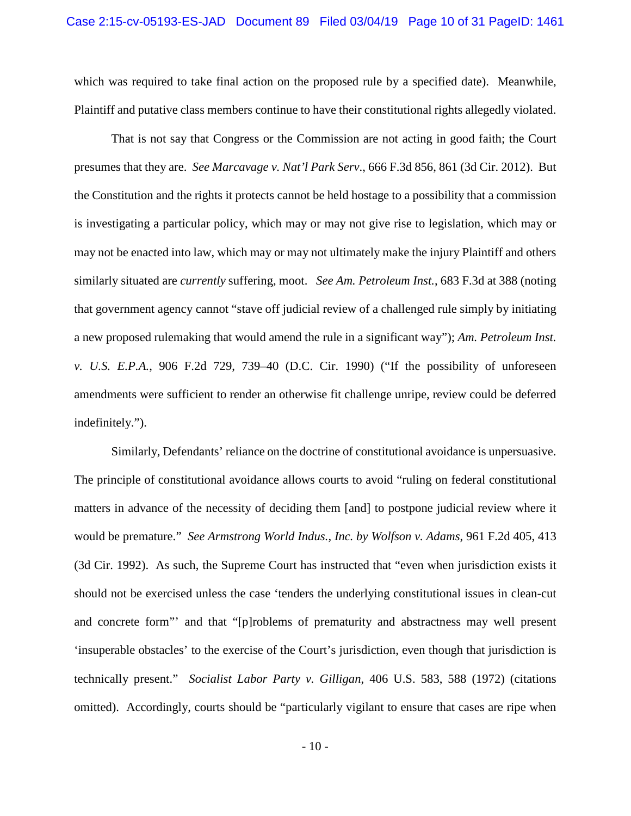which was required to take final action on the proposed rule by a specified date). Meanwhile, Plaintiff and putative class members continue to have their constitutional rights allegedly violated.

That is not say that Congress or the Commission are not acting in good faith; the Court presumes that they are. *See Marcavage v. Nat'l Park Serv*., 666 F.3d 856, 861 (3d Cir. 2012). But the Constitution and the rights it protects cannot be held hostage to a possibility that a commission is investigating a particular policy, which may or may not give rise to legislation, which may or may not be enacted into law, which may or may not ultimately make the injury Plaintiff and others similarly situated are *currently* suffering, moot. *See Am. Petroleum Inst.*, 683 F.3d at 388 (noting that government agency cannot "stave off judicial review of a challenged rule simply by initiating a new proposed rulemaking that would amend the rule in a significant way"); *Am. Petroleum Inst. v. U.S. E.P.A.*, 906 F.2d 729, 739–40 (D.C. Cir. 1990) ("If the possibility of unforeseen amendments were sufficient to render an otherwise fit challenge unripe, review could be deferred indefinitely.").

Similarly, Defendants' reliance on the doctrine of constitutional avoidance is unpersuasive. The principle of constitutional avoidance allows courts to avoid "ruling on federal constitutional matters in advance of the necessity of deciding them [and] to postpone judicial review where it would be premature." *See Armstrong World Indus., Inc. by Wolfson v. Adams*, 961 F.2d 405, 413 (3d Cir. 1992). As such, the Supreme Court has instructed that "even when jurisdiction exists it should not be exercised unless the case 'tenders the underlying constitutional issues in clean-cut and concrete form"' and that "[p]roblems of prematurity and abstractness may well present 'insuperable obstacles' to the exercise of the Court's jurisdiction, even though that jurisdiction is technically present." *Socialist Labor Party v. Gilligan*, 406 U.S. 583, 588 (1972) (citations omitted). Accordingly, courts should be "particularly vigilant to ensure that cases are ripe when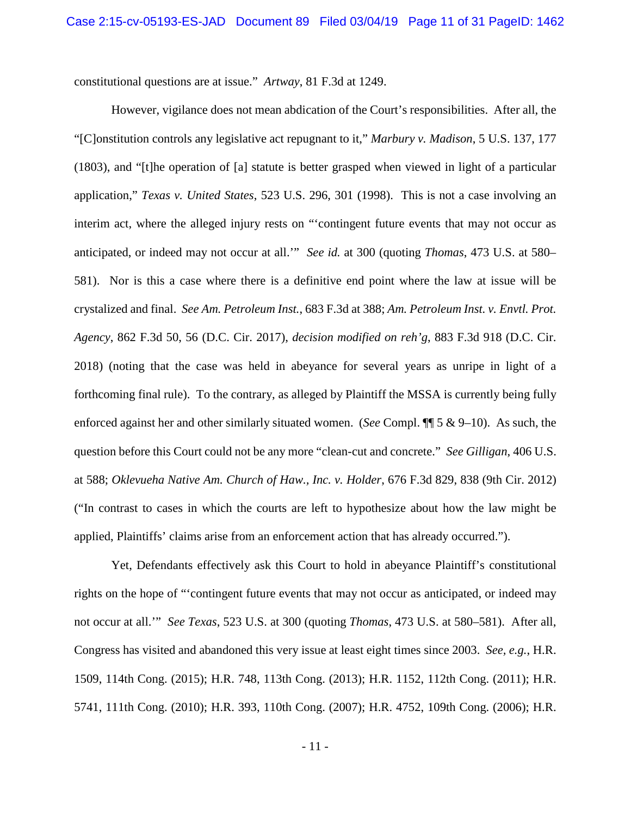constitutional questions are at issue." *Artway*, 81 F.3d at 1249.

However, vigilance does not mean abdication of the Court's responsibilities. After all, the "[C]onstitution controls any legislative act repugnant to it," *Marbury v. Madison*, 5 U.S. 137, 177 (1803), and "[t]he operation of [a] statute is better grasped when viewed in light of a particular application," *Texas v. United States*, 523 U.S. 296, 301 (1998). This is not a case involving an interim act, where the alleged injury rests on "'contingent future events that may not occur as anticipated, or indeed may not occur at all.'" *See id.* at 300 (quoting *Thomas*, 473 U.S. at 580– 581). Nor is this a case where there is a definitive end point where the law at issue will be crystalized and final. *See Am. Petroleum Inst.*, 683 F.3d at 388; *Am. Petroleum Inst. v. Envtl. Prot. Agency*, 862 F.3d 50, 56 (D.C. Cir. 2017), *decision modified on reh'g*, 883 F.3d 918 (D.C. Cir. 2018) (noting that the case was held in abeyance for several years as unripe in light of a forthcoming final rule). To the contrary, as alleged by Plaintiff the MSSA is currently being fully enforced against her and other similarly situated women. (*See* Compl. ¶¶ 5 & 9–10). As such, the question before this Court could not be any more "clean-cut and concrete." *See Gilligan*, 406 U.S. at 588; *Oklevueha Native Am. Church of Haw., Inc. v. Holder*, 676 F.3d 829, 838 (9th Cir. 2012) ("In contrast to cases in which the courts are left to hypothesize about how the law might be applied, Plaintiffs' claims arise from an enforcement action that has already occurred.").

Yet, Defendants effectively ask this Court to hold in abeyance Plaintiff's constitutional rights on the hope of "'contingent future events that may not occur as anticipated, or indeed may not occur at all.'" *See Texas*, 523 U.S. at 300 (quoting *Thomas*, 473 U.S. at 580–581). After all, Congress has visited and abandoned this very issue at least eight times since 2003. *See, e.g.*, H.R. 1509, 114th Cong. (2015); H.R. 748, 113th Cong. (2013); H.R. 1152, 112th Cong. (2011); H.R. 5741, 111th Cong. (2010); H.R. 393, 110th Cong. (2007); H.R. 4752, 109th Cong. (2006); H.R.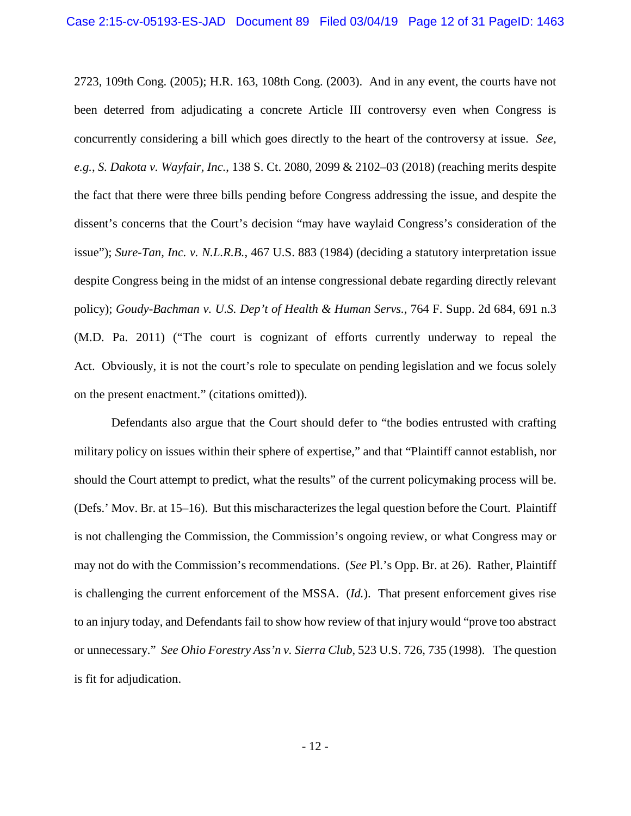2723, 109th Cong. (2005); H.R. 163, 108th Cong. (2003). And in any event, the courts have not been deterred from adjudicating a concrete Article III controversy even when Congress is concurrently considering a bill which goes directly to the heart of the controversy at issue. *See, e.g.*, *S. Dakota v. Wayfair, Inc.*, 138 S. Ct. 2080, 2099 & 2102–03 (2018) (reaching merits despite the fact that there were three bills pending before Congress addressing the issue, and despite the dissent's concerns that the Court's decision "may have waylaid Congress's consideration of the issue"); *Sure-Tan, Inc. v. N.L.R.B.*, 467 U.S. 883 (1984) (deciding a statutory interpretation issue despite Congress being in the midst of an intense congressional debate regarding directly relevant policy); *Goudy-Bachman v. U.S. Dep't of Health & Human Servs.*, 764 F. Supp. 2d 684, 691 n.3 (M.D. Pa. 2011) ("The court is cognizant of efforts currently underway to repeal the Act. Obviously, it is not the court's role to speculate on pending legislation and we focus solely on the present enactment." (citations omitted)).

Defendants also argue that the Court should defer to "the bodies entrusted with crafting military policy on issues within their sphere of expertise," and that "Plaintiff cannot establish, nor should the Court attempt to predict, what the results" of the current policymaking process will be. (Defs.' Mov. Br. at 15–16). But this mischaracterizes the legal question before the Court. Plaintiff is not challenging the Commission, the Commission's ongoing review, or what Congress may or may not do with the Commission's recommendations. (*See* Pl.'s Opp. Br. at 26). Rather, Plaintiff is challenging the current enforcement of the MSSA. (*Id.*). That present enforcement gives rise to an injury today, and Defendants fail to show how review of that injury would "prove too abstract or unnecessary." *See Ohio Forestry Ass'n v. Sierra Club*, 523 U.S. 726, 735 (1998). The question is fit for adjudication.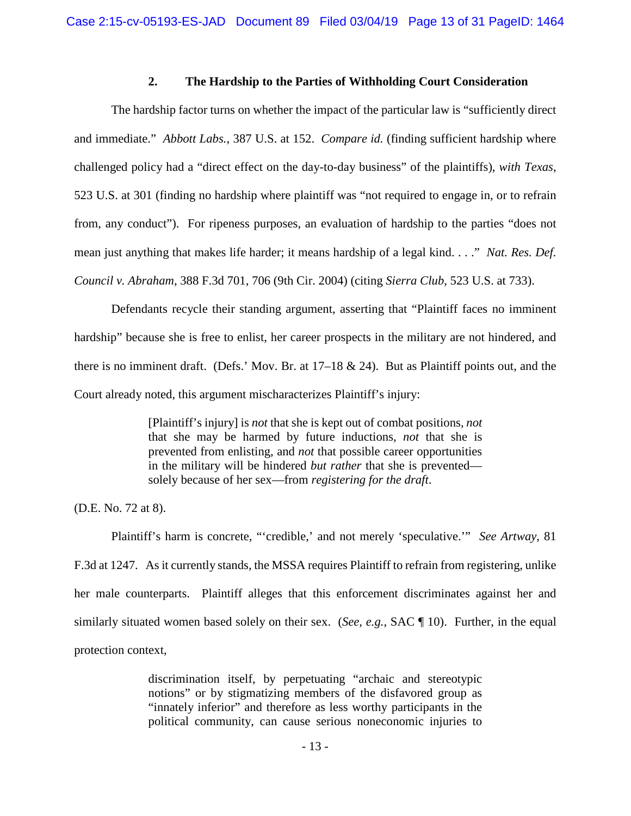## **2. The Hardship to the Parties of Withholding Court Consideration**

The hardship factor turns on whether the impact of the particular law is "sufficiently direct and immediate." *Abbott Labs.*, 387 U.S. at 152. *Compare id.* (finding sufficient hardship where challenged policy had a "direct effect on the day-to-day business" of the plaintiffs), *with Texas*, 523 U.S. at 301 (finding no hardship where plaintiff was "not required to engage in, or to refrain from, any conduct"). For ripeness purposes, an evaluation of hardship to the parties "does not mean just anything that makes life harder; it means hardship of a legal kind. . . ." *Nat. Res. Def. Council v. Abraham*, 388 F.3d 701, 706 (9th Cir. 2004) (citing *Sierra Club*, 523 U.S. at 733).

Defendants recycle their standing argument, asserting that "Plaintiff faces no imminent hardship" because she is free to enlist, her career prospects in the military are not hindered, and there is no imminent draft. (Defs.' Mov. Br. at 17–18 & 24). But as Plaintiff points out, and the Court already noted, this argument mischaracterizes Plaintiff's injury:

> [Plaintiff's injury] is *not* that she is kept out of combat positions, *not*  that she may be harmed by future inductions, *not* that she is prevented from enlisting, and *not* that possible career opportunities in the military will be hindered *but rather* that she is prevented solely because of her sex—from *registering for the draft*.

(D.E. No. 72 at 8).

Plaintiff's harm is concrete, "'credible,' and not merely 'speculative.'" *See Artway*, 81 F.3d at 1247. As it currently stands, the MSSA requires Plaintiff to refrain from registering, unlike her male counterparts. Plaintiff alleges that this enforcement discriminates against her and similarly situated women based solely on their sex. (*See, e.g.*, SAC ¶ 10). Further, in the equal protection context,

> discrimination itself, by perpetuating "archaic and stereotypic notions" or by stigmatizing members of the disfavored group as "innately inferior" and therefore as less worthy participants in the political community, can cause serious noneconomic injuries to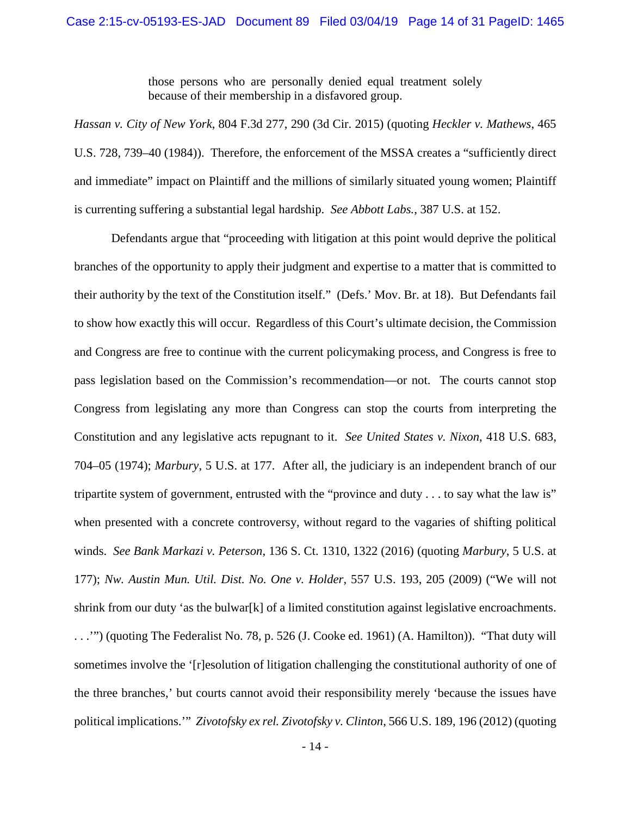those persons who are personally denied equal treatment solely because of their membership in a disfavored group.

*Hassan v. City of New York*, 804 F.3d 277, 290 (3d Cir. 2015) (quoting *Heckler v. Mathews*, 465 U.S. 728, 739–40 (1984)). Therefore, the enforcement of the MSSA creates a "sufficiently direct and immediate" impact on Plaintiff and the millions of similarly situated young women; Plaintiff is currenting suffering a substantial legal hardship. *See Abbott Labs.*, 387 U.S. at 152.

Defendants argue that "proceeding with litigation at this point would deprive the political branches of the opportunity to apply their judgment and expertise to a matter that is committed to their authority by the text of the Constitution itself." (Defs.' Mov. Br. at 18). But Defendants fail to show how exactly this will occur. Regardless of this Court's ultimate decision, the Commission and Congress are free to continue with the current policymaking process, and Congress is free to pass legislation based on the Commission's recommendation—or not. The courts cannot stop Congress from legislating any more than Congress can stop the courts from interpreting the Constitution and any legislative acts repugnant to it. *See United States v. Nixon*, 418 U.S. 683, 704–05 (1974); *Marbury*, 5 U.S. at 177. After all, the judiciary is an independent branch of our tripartite system of government, entrusted with the "province and duty . . . to say what the law is" when presented with a concrete controversy, without regard to the vagaries of shifting political winds. *See Bank Markazi v. Peterson*, 136 S. Ct. 1310, 1322 (2016) (quoting *Marbury*, 5 U.S. at 177); *Nw. Austin Mun. Util. Dist. No. One v. Holder*, 557 U.S. 193, 205 (2009) ("We will not shrink from our duty 'as the bulwar[k] of a limited constitution against legislative encroachments. . . .'") (quoting The Federalist No. 78, p. 526 (J. Cooke ed. 1961) (A. Hamilton)). "That duty will sometimes involve the '[r]esolution of litigation challenging the constitutional authority of one of the three branches,' but courts cannot avoid their responsibility merely 'because the issues have political implications.'" *Zivotofsky ex rel. Zivotofsky v. Clinton*, 566 U.S. 189, 196 (2012) (quoting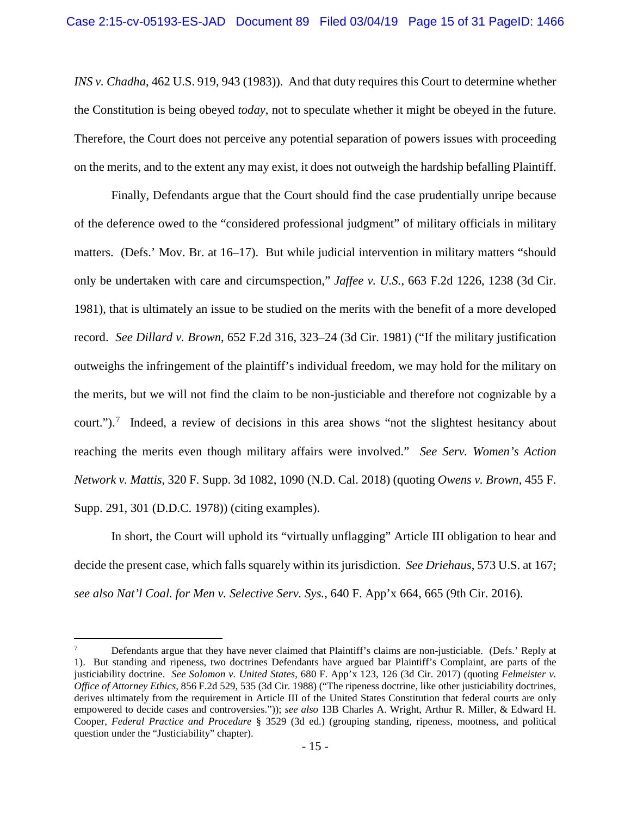*INS v. Chadha*, 462 U.S. 919, 943 (1983)). And that duty requires this Court to determine whether the Constitution is being obeyed *today*, not to speculate whether it might be obeyed in the future. Therefore, the Court does not perceive any potential separation of powers issues with proceeding on the merits, and to the extent any may exist, it does not outweigh the hardship befalling Plaintiff.

Finally, Defendants argue that the Court should find the case prudentially unripe because of the deference owed to the "considered professional judgment" of military officials in military matters. (Defs.' Mov. Br. at 16–17). But while judicial intervention in military matters "should only be undertaken with care and circumspection," *Jaffee v. U.S.*, 663 F.2d 1226, 1238 (3d Cir. 1981), that is ultimately an issue to be studied on the merits with the benefit of a more developed record. *See Dillard v. Brown*, 652 F.2d 316, 323–24 (3d Cir. 1981) ("If the military justification outweighs the infringement of the plaintiff's individual freedom, we may hold for the military on the merits, but we will not find the claim to be non-justiciable and therefore not cognizable by a court.").<sup>7</sup> Indeed, a review of decisions in this area shows "not the slightest hesitancy about reaching the merits even though military affairs were involved." *See Serv. Women's Action Network v. Mattis*, 320 F. Supp. 3d 1082, 1090 (N.D. Cal. 2018) (quoting *Owens v. Brown*, 455 F. Supp. 291, 301 (D.D.C. 1978)) (citing examples).

In short, the Court will uphold its "virtually unflagging" Article III obligation to hear and decide the present case, which falls squarely within its jurisdiction. *See Driehaus*, 573 U.S. at 167; *see also Nat'l Coal. for Men v. Selective Serv. Sys.*, 640 F. App'x 664, 665 (9th Cir. 2016).

l

<sup>7</sup> Defendants argue that they have never claimed that Plaintiff's claims are non-justiciable. (Defs.' Reply at 1). But standing and ripeness, two doctrines Defendants have argued bar Plaintiff's Complaint, are parts of the justiciability doctrine. *See Solomon v. United States*, 680 F. App'x 123, 126 (3d Cir. 2017) (quoting *Felmeister v. Office of Attorney Ethics*, 856 F.2d 529, 535 (3d Cir. 1988) ("The ripeness doctrine, like other justiciability doctrines, derives ultimately from the requirement in Article III of the United States Constitution that federal courts are only empowered to decide cases and controversies.")); *see also* 13B Charles A. Wright, Arthur R. Miller, & Edward H. Cooper, *Federal Practice and Procedure* § 3529 (3d ed.) (grouping standing, ripeness, mootness, and political question under the "Justiciability" chapter).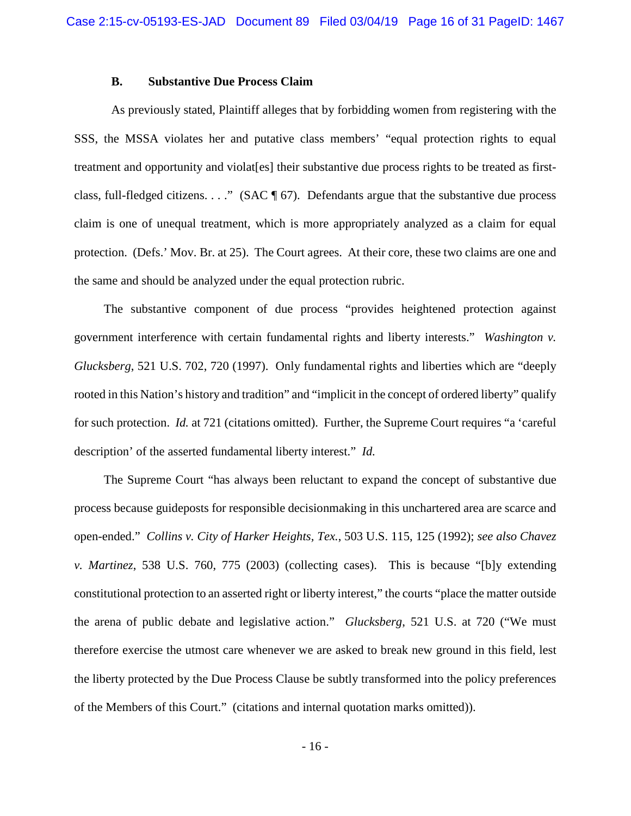### **B. Substantive Due Process Claim**

As previously stated, Plaintiff alleges that by forbidding women from registering with the SSS, the MSSA violates her and putative class members' "equal protection rights to equal treatment and opportunity and violat[es] their substantive due process rights to be treated as firstclass, full-fledged citizens. . . ." (SAC  $\P$  67). Defendants argue that the substantive due process claim is one of unequal treatment, which is more appropriately analyzed as a claim for equal protection. (Defs.' Mov. Br. at 25). The Court agrees. At their core, these two claims are one and the same and should be analyzed under the equal protection rubric.

The substantive component of due process "provides heightened protection against government interference with certain fundamental rights and liberty interests." *Washington v. Glucksberg*, 521 U.S. 702, 720 (1997). Only fundamental rights and liberties which are "deeply rooted in this Nation's history and tradition" and "implicit in the concept of ordered liberty" qualify for such protection. *Id.* at 721 (citations omitted). Further, the Supreme Court requires "a 'careful description' of the asserted fundamental liberty interest." *Id.*

The Supreme Court "has always been reluctant to expand the concept of substantive due process because guideposts for responsible decisionmaking in this unchartered area are scarce and open-ended." *Collins v. City of Harker Heights, Tex.*, 503 U.S. 115, 125 (1992); *see also Chavez v. Martinez*, 538 U.S. 760, 775 (2003) (collecting cases). This is because "[b]y extending constitutional protection to an asserted right or liberty interest," the courts "place the matter outside the arena of public debate and legislative action." *Glucksberg*, 521 U.S. at 720 ("We must therefore exercise the utmost care whenever we are asked to break new ground in this field, lest the liberty protected by the Due Process Clause be subtly transformed into the policy preferences of the Members of this Court." (citations and internal quotation marks omitted)).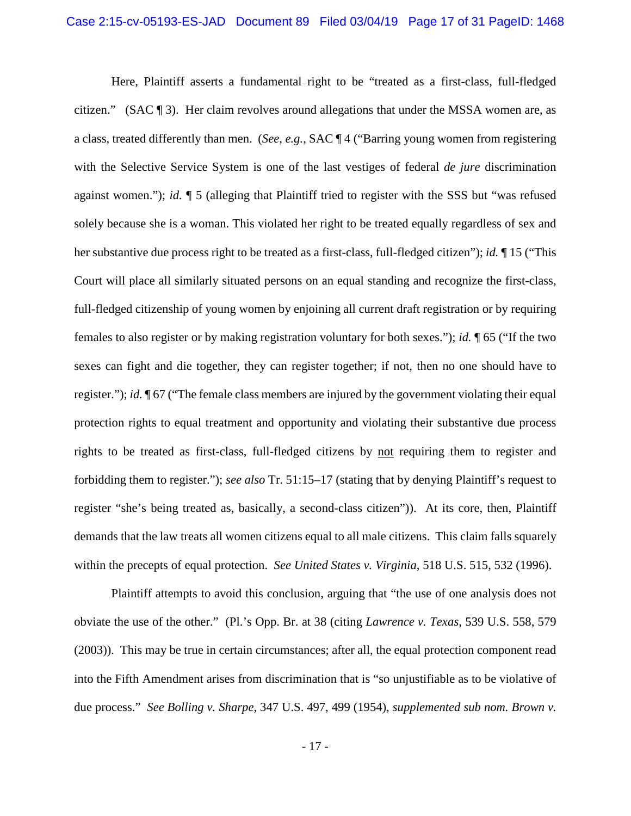Here, Plaintiff asserts a fundamental right to be "treated as a first-class, full-fledged citizen." (SAC ¶ 3). Her claim revolves around allegations that under the MSSA women are, as a class, treated differently than men. (*See, e.g.*, SAC ¶ 4 ("Barring young women from registering with the Selective Service System is one of the last vestiges of federal *de jure* discrimination against women."); *id.* ¶ 5 (alleging that Plaintiff tried to register with the SSS but "was refused solely because she is a woman. This violated her right to be treated equally regardless of sex and her substantive due process right to be treated as a first-class, full-fledged citizen"); *id.* ¶ 15 ("This Court will place all similarly situated persons on an equal standing and recognize the first-class, full-fledged citizenship of young women by enjoining all current draft registration or by requiring females to also register or by making registration voluntary for both sexes."); *id.* ¶ 65 ("If the two sexes can fight and die together, they can register together; if not, then no one should have to register."); *id.* ¶ 67 ("The female class members are injured by the government violating their equal protection rights to equal treatment and opportunity and violating their substantive due process rights to be treated as first-class, full-fledged citizens by not requiring them to register and forbidding them to register."); *see also* Tr. 51:15–17 (stating that by denying Plaintiff's request to register "she's being treated as, basically, a second-class citizen")). At its core, then, Plaintiff demands that the law treats all women citizens equal to all male citizens. This claim falls squarely within the precepts of equal protection. *See United States v. Virginia*, 518 U.S. 515, 532 (1996).

Plaintiff attempts to avoid this conclusion, arguing that "the use of one analysis does not obviate the use of the other." (Pl.'s Opp. Br. at 38 (citing *Lawrence v. Texas*, 539 U.S. 558, 579 (2003)). This may be true in certain circumstances; after all, the equal protection component read into the Fifth Amendment arises from discrimination that is "so unjustifiable as to be violative of due process." *See Bolling v. Sharpe*, 347 U.S. 497, 499 (1954), *supplemented sub nom. Brown v.*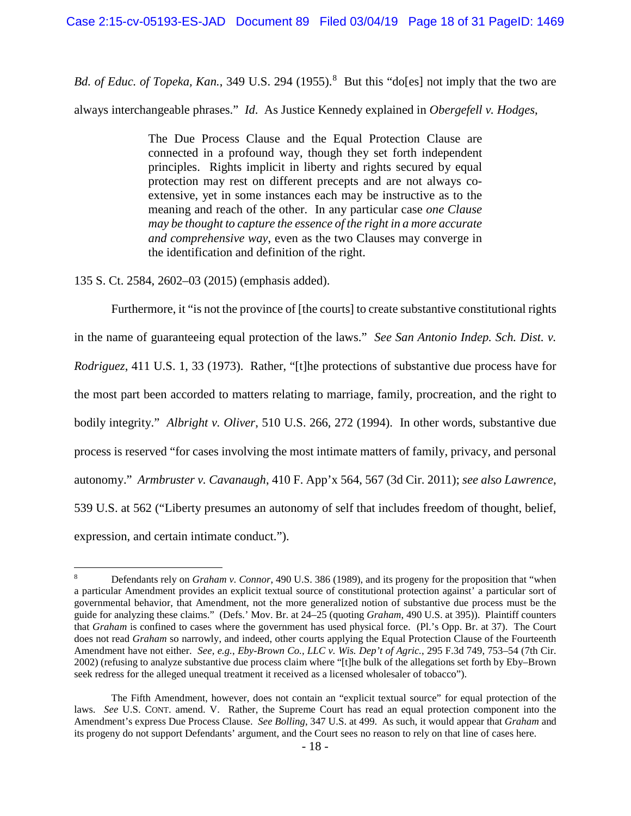Bd. of Educ. of Topeka, Kan., 349 U.S. 294 (1955).<sup>8</sup> But this "do[es] not imply that the two are always interchangeable phrases." *Id*. As Justice Kennedy explained in *Obergefell v. Hodges*,

> The Due Process Clause and the Equal Protection Clause are connected in a profound way, though they set forth independent principles. Rights implicit in liberty and rights secured by equal protection may rest on different precepts and are not always coextensive, yet in some instances each may be instructive as to the meaning and reach of the other. In any particular case *one Clause may be thought to capture the essence of the right in a more accurate and comprehensive way*, even as the two Clauses may converge in the identification and definition of the right.

135 S. Ct. 2584, 2602–03 (2015) (emphasis added).

l

Furthermore, it "is not the province of [the courts] to create substantive constitutional rights in the name of guaranteeing equal protection of the laws." *See San Antonio Indep. Sch. Dist. v. Rodriguez*, 411 U.S. 1, 33 (1973). Rather, "[t]he protections of substantive due process have for the most part been accorded to matters relating to marriage, family, procreation, and the right to bodily integrity." *Albright v. Oliver*, 510 U.S. 266, 272 (1994). In other words, substantive due process is reserved "for cases involving the most intimate matters of family, privacy, and personal autonomy." *Armbruster v. Cavanaugh*, 410 F. App'x 564, 567 (3d Cir. 2011); *see also Lawrence*, 539 U.S. at 562 ("Liberty presumes an autonomy of self that includes freedom of thought, belief, expression, and certain intimate conduct.").

<sup>8</sup> Defendants rely on *Graham v. Connor*, 490 U.S. 386 (1989), and its progeny for the proposition that "when a particular Amendment provides an explicit textual source of constitutional protection against' a particular sort of governmental behavior, that Amendment, not the more generalized notion of substantive due process must be the guide for analyzing these claims." (Defs.' Mov. Br. at 24–25 (quoting *Graham*, 490 U.S. at 395)). Plaintiff counters that *Graham* is confined to cases where the government has used physical force. (Pl.'s Opp. Br. at 37). The Court does not read *Graham* so narrowly, and indeed, other courts applying the Equal Protection Clause of the Fourteenth Amendment have not either. *See, e.g.*, *Eby-Brown Co., LLC v. Wis. Dep't of Agric.*, 295 F.3d 749, 753–54 (7th Cir. 2002) (refusing to analyze substantive due process claim where "[t]he bulk of the allegations set forth by Eby–Brown seek redress for the alleged unequal treatment it received as a licensed wholesaler of tobacco").

The Fifth Amendment, however, does not contain an "explicit textual source" for equal protection of the laws. *See* U.S. CONT. amend. V. Rather, the Supreme Court has read an equal protection component into the Amendment's express Due Process Clause. *See Bolling*, 347 U.S. at 499. As such, it would appear that *Graham* and its progeny do not support Defendants' argument, and the Court sees no reason to rely on that line of cases here.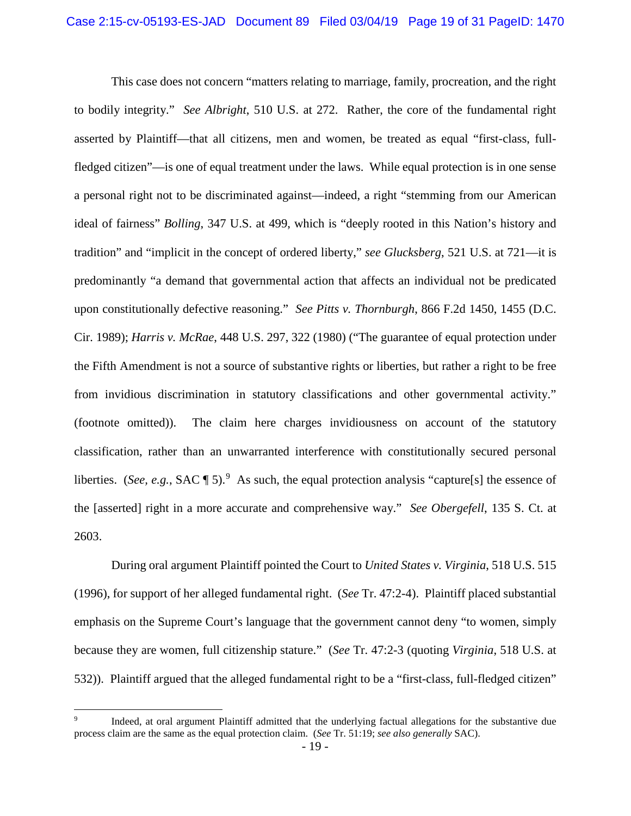This case does not concern "matters relating to marriage, family, procreation, and the right to bodily integrity." *See Albright*, 510 U.S. at 272. Rather, the core of the fundamental right asserted by Plaintiff—that all citizens, men and women, be treated as equal "first-class, fullfledged citizen"—is one of equal treatment under the laws. While equal protection is in one sense a personal right not to be discriminated against—indeed, a right "stemming from our American ideal of fairness" *Bolling*, 347 U.S. at 499, which is "deeply rooted in this Nation's history and tradition" and "implicit in the concept of ordered liberty," *see Glucksberg*, 521 U.S. at 721—it is predominantly "a demand that governmental action that affects an individual not be predicated upon constitutionally defective reasoning." *See Pitts v. Thornburgh*, 866 F.2d 1450, 1455 (D.C. Cir. 1989); *Harris v. McRae*, 448 U.S. 297, 322 (1980) ("The guarantee of equal protection under the Fifth Amendment is not a source of substantive rights or liberties, but rather a right to be free from invidious discrimination in statutory classifications and other governmental activity." (footnote omitted)). The claim here charges invidiousness on account of the statutory classification, rather than an unwarranted interference with constitutionally secured personal liberties. (*See, e.g.*, SAC  $\llbracket 5$ ). As such, the equal protection analysis "capture[s] the essence of the [asserted] right in a more accurate and comprehensive way." *See Obergefell*, 135 S. Ct. at 2603.

During oral argument Plaintiff pointed the Court to *United States v. Virginia*, 518 U.S. 515 (1996), for support of her alleged fundamental right. (*See* Tr. 47:2-4). Plaintiff placed substantial emphasis on the Supreme Court's language that the government cannot deny "to women, simply because they are women, full citizenship stature." (*See* Tr. 47:2-3 (quoting *Virginia*, 518 U.S. at 532)). Plaintiff argued that the alleged fundamental right to be a "first-class, full-fledged citizen"

l

<sup>9</sup> Indeed, at oral argument Plaintiff admitted that the underlying factual allegations for the substantive due process claim are the same as the equal protection claim. (*See* Tr. 51:19; *see also generally* SAC).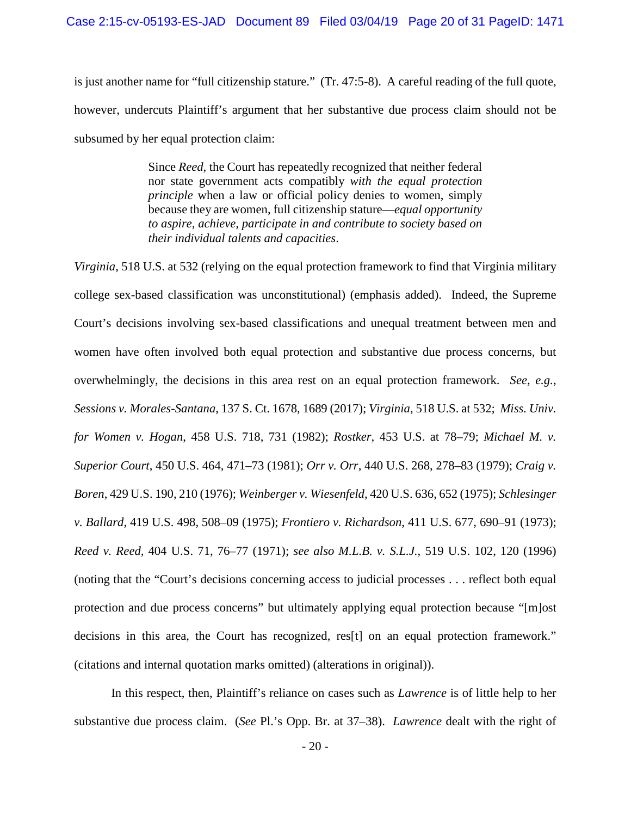is just another name for "full citizenship stature." (Tr. 47:5-8). A careful reading of the full quote, however, undercuts Plaintiff's argument that her substantive due process claim should not be subsumed by her equal protection claim:

> Since *Reed*, the Court has repeatedly recognized that neither federal nor state government acts compatibly *with the equal protection principle* when a law or official policy denies to women, simply because they are women, full citizenship stature—*equal opportunity to aspire, achieve, participate in and contribute to society based on their individual talents and capacities*.

*Virginia*, 518 U.S. at 532 (relying on the equal protection framework to find that Virginia military college sex-based classification was unconstitutional) (emphasis added). Indeed, the Supreme Court's decisions involving sex-based classifications and unequal treatment between men and women have often involved both equal protection and substantive due process concerns, but overwhelmingly, the decisions in this area rest on an equal protection framework. *See, e.g.*, *Sessions v. Morales-Santana*, 137 S. Ct. 1678, 1689 (2017); *Virginia*, 518 U.S. at 532; *Miss. Univ. for Women v. Hogan*, 458 U.S. 718, 731 (1982); *Rostker*, 453 U.S. at 78–79; *Michael M. v. Superior Court*, 450 U.S. 464, 471–73 (1981); *Orr v. Orr*, 440 U.S. 268, 278–83 (1979); *Craig v. Boren*, 429 U.S. 190, 210 (1976); *Weinberger v. Wiesenfeld*, 420 U.S. 636, 652 (1975); *Schlesinger v. Ballard*, 419 U.S. 498, 508*–*09 (1975); *Frontiero v. Richardson*, 411 U.S. 677, 690–91 (1973); *Reed v. Reed,* 404 U.S. 71, 76–77 (1971); *see also M.L.B. v. S.L.J.*, 519 U.S. 102, 120 (1996) (noting that the "Court's decisions concerning access to judicial processes . . . reflect both equal protection and due process concerns" but ultimately applying equal protection because "[m]ost decisions in this area, the Court has recognized, res[t] on an equal protection framework." (citations and internal quotation marks omitted) (alterations in original)).

In this respect, then, Plaintiff's reliance on cases such as *Lawrence* is of little help to her substantive due process claim. (*See* Pl.'s Opp. Br. at 37–38). *Lawrence* dealt with the right of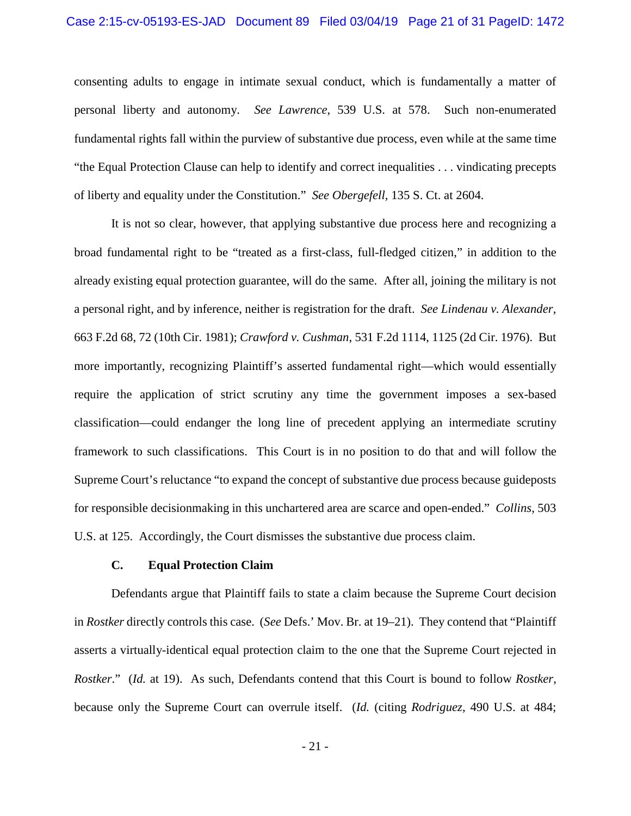### Case 2:15-cv-05193-ES-JAD Document 89 Filed 03/04/19 Page 21 of 31 PageID: 1472

consenting adults to engage in intimate sexual conduct, which is fundamentally a matter of personal liberty and autonomy. *See Lawrence*, 539 U.S. at 578. Such non-enumerated fundamental rights fall within the purview of substantive due process, even while at the same time "the Equal Protection Clause can help to identify and correct inequalities . . . vindicating precepts of liberty and equality under the Constitution." *See Obergefell*, 135 S. Ct. at 2604.

It is not so clear, however, that applying substantive due process here and recognizing a broad fundamental right to be "treated as a first-class, full-fledged citizen," in addition to the already existing equal protection guarantee, will do the same. After all, joining the military is not a personal right, and by inference, neither is registration for the draft. *See Lindenau v. Alexander*, 663 F.2d 68, 72 (10th Cir. 1981); *Crawford v. Cushman*, 531 F.2d 1114, 1125 (2d Cir. 1976). But more importantly, recognizing Plaintiff's asserted fundamental right—which would essentially require the application of strict scrutiny any time the government imposes a sex-based classification—could endanger the long line of precedent applying an intermediate scrutiny framework to such classifications. This Court is in no position to do that and will follow the Supreme Court's reluctance "to expand the concept of substantive due process because guideposts for responsible decisionmaking in this unchartered area are scarce and open-ended." *Collins*, 503 U.S. at 125. Accordingly, the Court dismisses the substantive due process claim.

## **C. Equal Protection Claim**

Defendants argue that Plaintiff fails to state a claim because the Supreme Court decision in *Rostker* directly controls this case. (*See* Defs.' Mov. Br. at 19–21). They contend that "Plaintiff asserts a virtually-identical equal protection claim to the one that the Supreme Court rejected in *Rostker*." (*Id.* at 19). As such, Defendants contend that this Court is bound to follow *Rostker*, because only the Supreme Court can overrule itself. (*Id.* (citing *Rodriguez*, 490 U.S. at 484;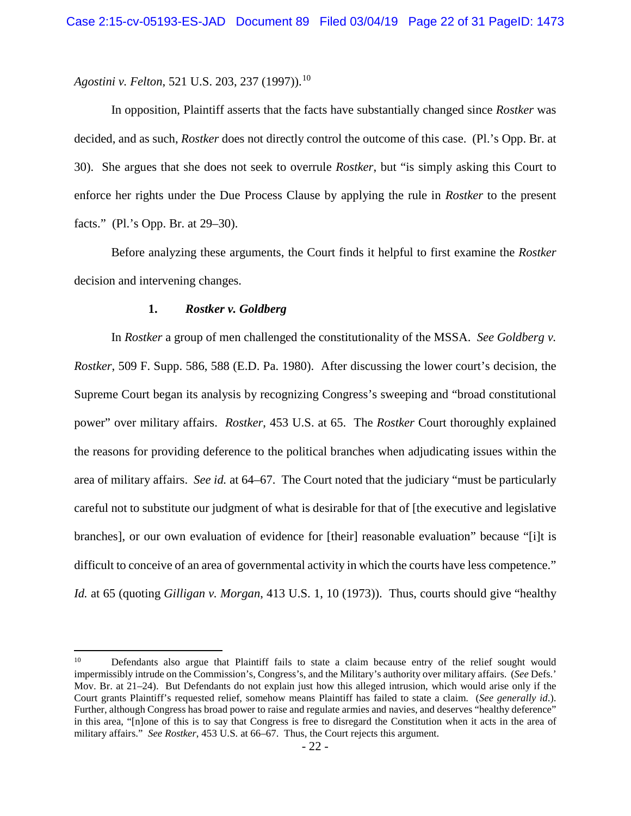*Agostini v. Felton,* 521 U.S. 203, 237 (1997)).<sup>10</sup>

In opposition, Plaintiff asserts that the facts have substantially changed since *Rostker* was decided, and as such, *Rostker* does not directly control the outcome of this case. (Pl.'s Opp. Br. at 30). She argues that she does not seek to overrule *Rostker*, but "is simply asking this Court to enforce her rights under the Due Process Clause by applying the rule in *Rostker* to the present facts." (Pl.'s Opp. Br. at 29–30).

Before analyzing these arguments, the Court finds it helpful to first examine the *Rostker* decision and intervening changes.

### **1.** *Rostker v. Goldberg*

l

In *Rostker* a group of men challenged the constitutionality of the MSSA. *See Goldberg v. Rostker*, 509 F. Supp. 586, 588 (E.D. Pa. 1980). After discussing the lower court's decision, the Supreme Court began its analysis by recognizing Congress's sweeping and "broad constitutional power" over military affairs. *Rostker*, 453 U.S. at 65. The *Rostker* Court thoroughly explained the reasons for providing deference to the political branches when adjudicating issues within the area of military affairs. *See id.* at 64–67. The Court noted that the judiciary "must be particularly careful not to substitute our judgment of what is desirable for that of [the executive and legislative branches], or our own evaluation of evidence for [their] reasonable evaluation" because "[i]t is difficult to conceive of an area of governmental activity in which the courts have less competence." *Id.* at 65 (quoting *Gilligan v. Morgan*, 413 U.S. 1, 10 (1973)). Thus, courts should give "healthy

<sup>&</sup>lt;sup>10</sup> Defendants also argue that Plaintiff fails to state a claim because entry of the relief sought would impermissibly intrude on the Commission's, Congress's, and the Military's authority over military affairs. (*See* Defs.' Mov. Br. at 21–24). But Defendants do not explain just how this alleged intrusion, which would arise only if the Court grants Plaintiff's requested relief, somehow means Plaintiff has failed to state a claim. (*See generally id*.). Further, although Congress has broad power to raise and regulate armies and navies, and deserves "healthy deference" in this area, "[n]one of this is to say that Congress is free to disregard the Constitution when it acts in the area of military affairs." *See Rostker*, 453 U.S. at 66–67. Thus, the Court rejects this argument.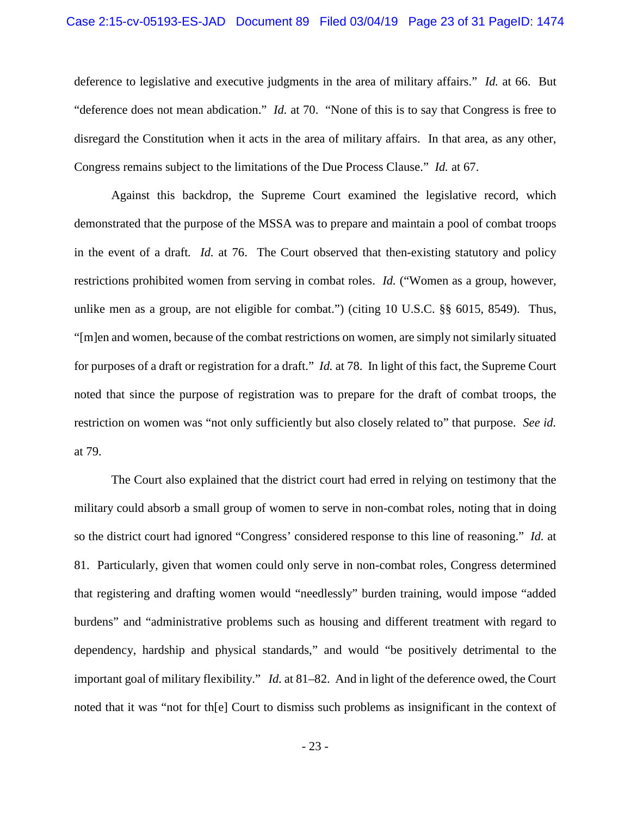### Case 2:15-cv-05193-ES-JAD Document 89 Filed 03/04/19 Page 23 of 31 PageID: 1474

deference to legislative and executive judgments in the area of military affairs." *Id.* at 66. But "deference does not mean abdication." *Id.* at 70. "None of this is to say that Congress is free to disregard the Constitution when it acts in the area of military affairs. In that area, as any other, Congress remains subject to the limitations of the Due Process Clause." *Id.* at 67.

Against this backdrop, the Supreme Court examined the legislative record, which demonstrated that the purpose of the MSSA was to prepare and maintain a pool of combat troops in the event of a draft*. Id.* at 76. The Court observed that then-existing statutory and policy restrictions prohibited women from serving in combat roles. *Id.* ("Women as a group, however, unlike men as a group, are not eligible for combat.") (citing 10 U.S.C. §§ 6015, 8549). Thus, "[m]en and women, because of the combat restrictions on women, are simply not similarly situated for purposes of a draft or registration for a draft." *Id.* at 78. In light of this fact, the Supreme Court noted that since the purpose of registration was to prepare for the draft of combat troops, the restriction on women was "not only sufficiently but also closely related to" that purpose. *See id.* at 79.

The Court also explained that the district court had erred in relying on testimony that the military could absorb a small group of women to serve in non-combat roles, noting that in doing so the district court had ignored "Congress' considered response to this line of reasoning." *Id.* at 81. Particularly, given that women could only serve in non-combat roles, Congress determined that registering and drafting women would "needlessly" burden training, would impose "added burdens" and "administrative problems such as housing and different treatment with regard to dependency, hardship and physical standards," and would "be positively detrimental to the important goal of military flexibility." *Id.* at 81–82. And in light of the deference owed, the Court noted that it was "not for th[e] Court to dismiss such problems as insignificant in the context of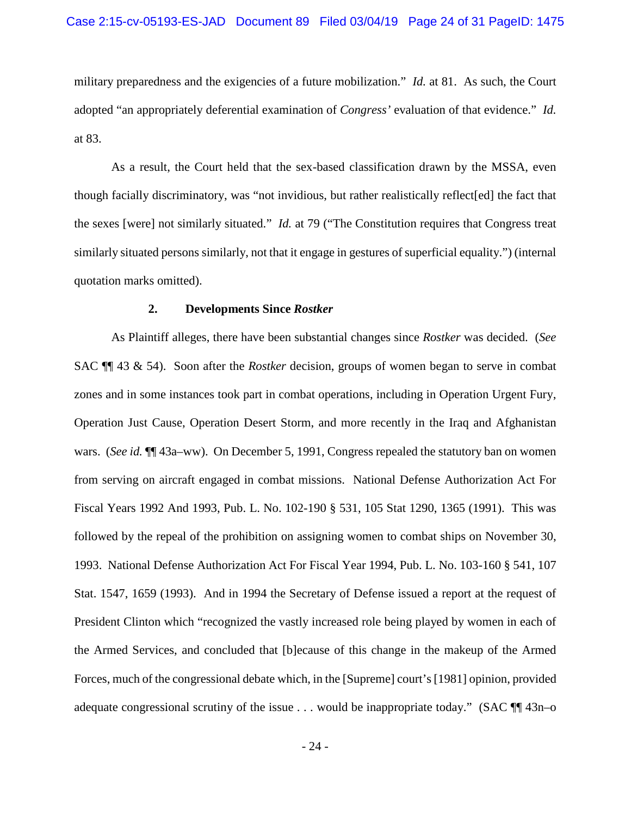military preparedness and the exigencies of a future mobilization." *Id.* at 81. As such, the Court adopted "an appropriately deferential examination of *Congress'* evaluation of that evidence." *Id.* at 83.

As a result, the Court held that the sex-based classification drawn by the MSSA, even though facially discriminatory, was "not invidious, but rather realistically reflect[ed] the fact that the sexes [were] not similarly situated." *Id.* at 79 ("The Constitution requires that Congress treat similarly situated persons similarly, not that it engage in gestures of superficial equality.") (internal quotation marks omitted).

#### **2. Developments Since** *Rostker*

As Plaintiff alleges, there have been substantial changes since *Rostker* was decided. (*See*  SAC ¶¶ 43 & 54). Soon after the *Rostker* decision, groups of women began to serve in combat zones and in some instances took part in combat operations, including in Operation Urgent Fury, Operation Just Cause, Operation Desert Storm, and more recently in the Iraq and Afghanistan wars. (*See id.*  $\P$ <sup> $\parallel$ </sup> 43a–ww). On December 5, 1991, Congress repealed the statutory ban on women from serving on aircraft engaged in combat missions. National Defense Authorization Act For Fiscal Years 1992 And 1993, Pub. L. No. 102-190 § 531, 105 Stat 1290, 1365 (1991). This was followed by the repeal of the prohibition on assigning women to combat ships on November 30, 1993. National Defense Authorization Act For Fiscal Year 1994, Pub. L. No. 103-160 § 541, 107 Stat. 1547, 1659 (1993). And in 1994 the Secretary of Defense issued a report at the request of President Clinton which "recognized the vastly increased role being played by women in each of the Armed Services, and concluded that [b]ecause of this change in the makeup of the Armed Forces, much of the congressional debate which, in the [Supreme] court's [1981] opinion, provided adequate congressional scrutiny of the issue . . . would be inappropriate today." (SAC  $\P$  43n–o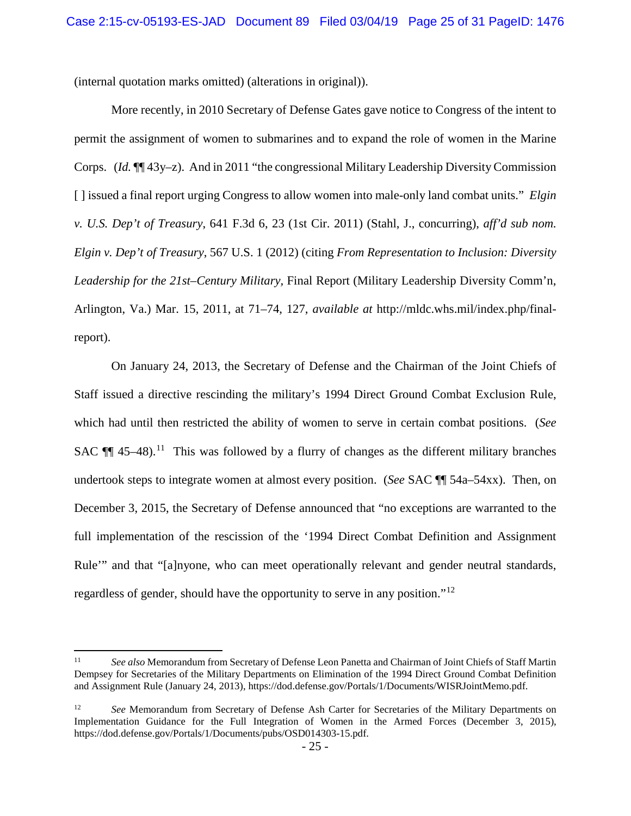(internal quotation marks omitted) (alterations in original)).

More recently, in 2010 Secretary of Defense Gates gave notice to Congress of the intent to permit the assignment of women to submarines and to expand the role of women in the Marine Corps. (*Id.* ¶¶ 43y–z). And in 2011 "the congressional Military Leadership Diversity Commission [ ] issued a final report urging Congress to allow women into male-only land combat units." *Elgin v. U.S. Dep't of Treasury*, 641 F.3d 6, 23 (1st Cir. 2011) (Stahl, J., concurring), *aff'd sub nom. Elgin v. Dep't of Treasury*, 567 U.S. 1 (2012) (citing *From Representation to Inclusion: Diversity Leadership for the 21st–Century Military,* Final Report (Military Leadership Diversity Comm'n, Arlington, Va.) Mar. 15, 2011, at 71–74, 127, *available at* http://mldc.whs.mil/index.php/finalreport).

On January 24, 2013, the Secretary of Defense and the Chairman of the Joint Chiefs of Staff issued a directive rescinding the military's 1994 Direct Ground Combat Exclusion Rule, which had until then restricted the ability of women to serve in certain combat positions. (*See*  SAC  $\P$  45–48).<sup>11</sup> This was followed by a flurry of changes as the different military branches undertook steps to integrate women at almost every position. (*See* SAC ¶¶ 54a–54xx). Then, on December 3, 2015, the Secretary of Defense announced that "no exceptions are warranted to the full implementation of the rescission of the '1994 Direct Combat Definition and Assignment Rule'" and that "[a]nyone, who can meet operationally relevant and gender neutral standards, regardless of gender, should have the opportunity to serve in any position."<sup>12</sup>

l

<sup>11</sup> *See also* Memorandum from Secretary of Defense Leon Panetta and Chairman of Joint Chiefs of Staff Martin Dempsey for Secretaries of the Military Departments on Elimination of the 1994 Direct Ground Combat Definition and Assignment Rule (January 24, 2013), https://dod.defense.gov/Portals/1/Documents/WISRJointMemo.pdf.

<sup>12</sup> *See* Memorandum from Secretary of Defense Ash Carter for Secretaries of the Military Departments on Implementation Guidance for the Full Integration of Women in the Armed Forces (December 3, 2015), https://dod.defense.gov/Portals/1/Documents/pubs/OSD014303-15.pdf.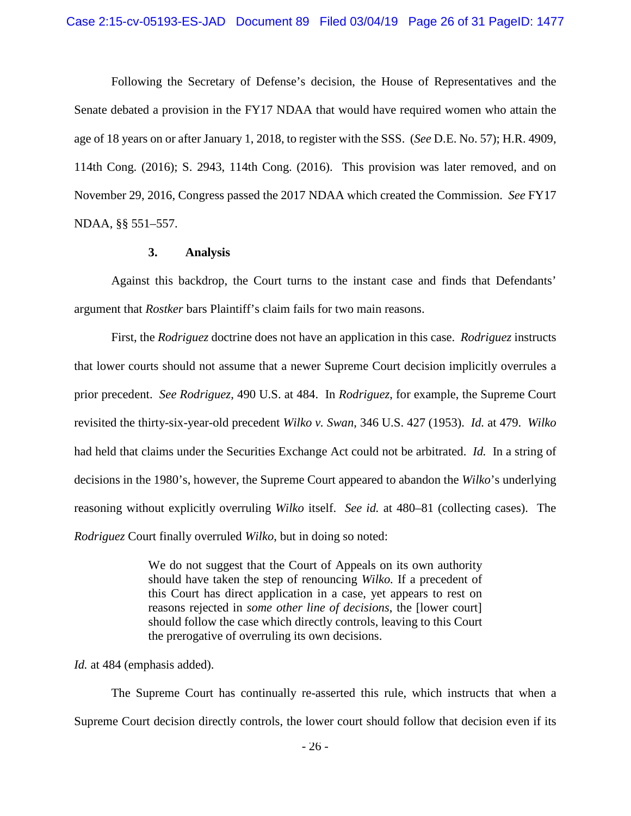Following the Secretary of Defense's decision, the House of Representatives and the Senate debated a provision in the FY17 NDAA that would have required women who attain the age of 18 years on or after January 1, 2018, to register with the SSS. (*See* D.E. No. 57); H.R. 4909, 114th Cong. (2016); S. 2943, 114th Cong. (2016). This provision was later removed, and on November 29, 2016, Congress passed the 2017 NDAA which created the Commission. *See* FY17 NDAA, §§ 551–557.

#### **3. Analysis**

Against this backdrop, the Court turns to the instant case and finds that Defendants' argument that *Rostker* bars Plaintiff's claim fails for two main reasons.

First, the *Rodriguez* doctrine does not have an application in this case. *Rodriguez* instructs that lower courts should not assume that a newer Supreme Court decision implicitly overrules a prior precedent. *See Rodriguez*, 490 U.S. at 484. In *Rodriguez*, for example, the Supreme Court revisited the thirty-six-year-old precedent *Wilko v. Swan*, 346 U.S. 427 (1953). *Id.* at 479. *Wilko* had held that claims under the Securities Exchange Act could not be arbitrated. *Id.* In a string of decisions in the 1980's, however, the Supreme Court appeared to abandon the *Wilko*'s underlying reasoning without explicitly overruling *Wilko* itself. *See id.* at 480–81 (collecting cases). The *Rodriguez* Court finally overruled *Wilko*, but in doing so noted:

> We do not suggest that the Court of Appeals on its own authority should have taken the step of renouncing *Wilko.* If a precedent of this Court has direct application in a case, yet appears to rest on reasons rejected in *some other line of decisions*, the [lower court] should follow the case which directly controls, leaving to this Court the prerogative of overruling its own decisions.

*Id.* at 484 (emphasis added).

The Supreme Court has continually re-asserted this rule, which instructs that when a Supreme Court decision directly controls, the lower court should follow that decision even if its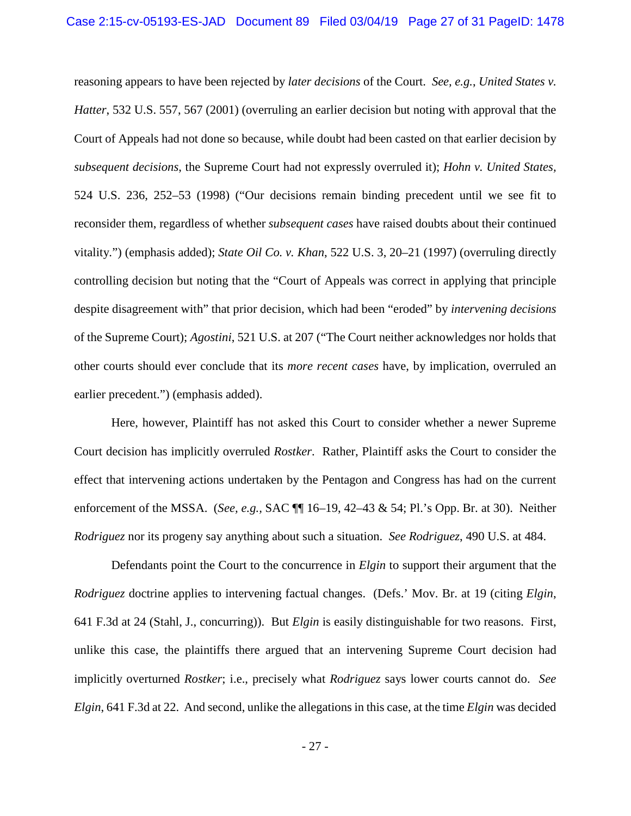reasoning appears to have been rejected by *later decisions* of the Court. *See, e.g.*, *United States v. Hatter*, 532 U.S. 557, 567 (2001) (overruling an earlier decision but noting with approval that the Court of Appeals had not done so because, while doubt had been casted on that earlier decision by *subsequent decisions*, the Supreme Court had not expressly overruled it); *Hohn v. United States,* 524 U.S. 236, 252–53 (1998) ("Our decisions remain binding precedent until we see fit to reconsider them, regardless of whether *subsequent cases* have raised doubts about their continued vitality.") (emphasis added); *State Oil Co. v. Khan*, 522 U.S. 3, 20–21 (1997) (overruling directly controlling decision but noting that the "Court of Appeals was correct in applying that principle despite disagreement with" that prior decision, which had been "eroded" by *intervening decisions* of the Supreme Court); *Agostini*, 521 U.S. at 207 ("The Court neither acknowledges nor holds that other courts should ever conclude that its *more recent cases* have, by implication, overruled an earlier precedent.") (emphasis added).

Here, however, Plaintiff has not asked this Court to consider whether a newer Supreme Court decision has implicitly overruled *Rostker*. Rather, Plaintiff asks the Court to consider the effect that intervening actions undertaken by the Pentagon and Congress has had on the current enforcement of the MSSA. (*See, e.g.,* SAC ¶¶ 16–19, 42–43 & 54; Pl.'s Opp. Br. at 30). Neither *Rodriguez* nor its progeny say anything about such a situation. *See Rodriguez*, 490 U.S. at 484.

Defendants point the Court to the concurrence in *Elgin* to support their argument that the *Rodriguez* doctrine applies to intervening factual changes. (Defs.' Mov. Br. at 19 (citing *Elgin*, 641 F.3d at 24 (Stahl, J., concurring)). But *Elgin* is easily distinguishable for two reasons. First, unlike this case, the plaintiffs there argued that an intervening Supreme Court decision had implicitly overturned *Rostker*; i.e., precisely what *Rodriguez* says lower courts cannot do. *See Elgin*, 641 F.3d at 22. And second, unlike the allegations in this case, at the time *Elgin* was decided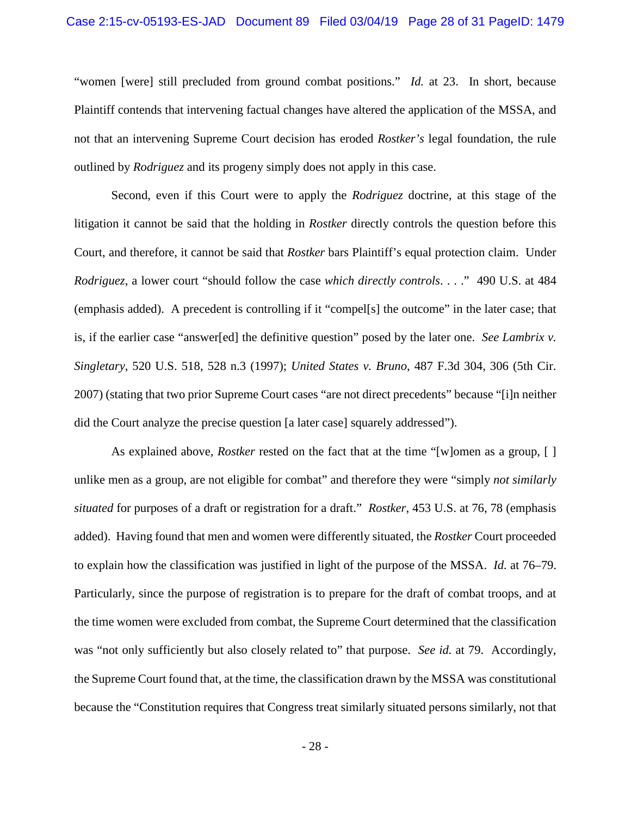### Case 2:15-cv-05193-ES-JAD Document 89 Filed 03/04/19 Page 28 of 31 PageID: 1479

"women [were] still precluded from ground combat positions." *Id.* at 23. In short, because Plaintiff contends that intervening factual changes have altered the application of the MSSA, and not that an intervening Supreme Court decision has eroded *Rostker's* legal foundation, the rule outlined by *Rodriguez* and its progeny simply does not apply in this case.

Second, even if this Court were to apply the *Rodriguez* doctrine, at this stage of the litigation it cannot be said that the holding in *Rostker* directly controls the question before this Court, and therefore, it cannot be said that *Rostker* bars Plaintiff's equal protection claim. Under *Rodriguez*, a lower court "should follow the case *which directly controls*. . . ." 490 U.S. at 484 (emphasis added). A precedent is controlling if it "compel[s] the outcome" in the later case; that is, if the earlier case "answer[ed] the definitive question" posed by the later one. *See Lambrix v. Singletary*, 520 U.S. 518, 528 n.3 (1997); *United States v. Bruno*, 487 F.3d 304, 306 (5th Cir. 2007) (stating that two prior Supreme Court cases "are not direct precedents" because "[i]n neither did the Court analyze the precise question [a later case] squarely addressed").

As explained above, *Rostker* rested on the fact that at the time "[w]omen as a group, [ ] unlike men as a group, are not eligible for combat" and therefore they were "simply *not similarly situated* for purposes of a draft or registration for a draft." *Rostker*, 453 U.S. at 76, 78 (emphasis added). Having found that men and women were differently situated, the *Rostker* Court proceeded to explain how the classification was justified in light of the purpose of the MSSA. *Id.* at 76–79. Particularly, since the purpose of registration is to prepare for the draft of combat troops, and at the time women were excluded from combat, the Supreme Court determined that the classification was "not only sufficiently but also closely related to" that purpose. *See id.* at 79. Accordingly, the Supreme Court found that, at the time, the classification drawn by the MSSA was constitutional because the "Constitution requires that Congress treat similarly situated persons similarly, not that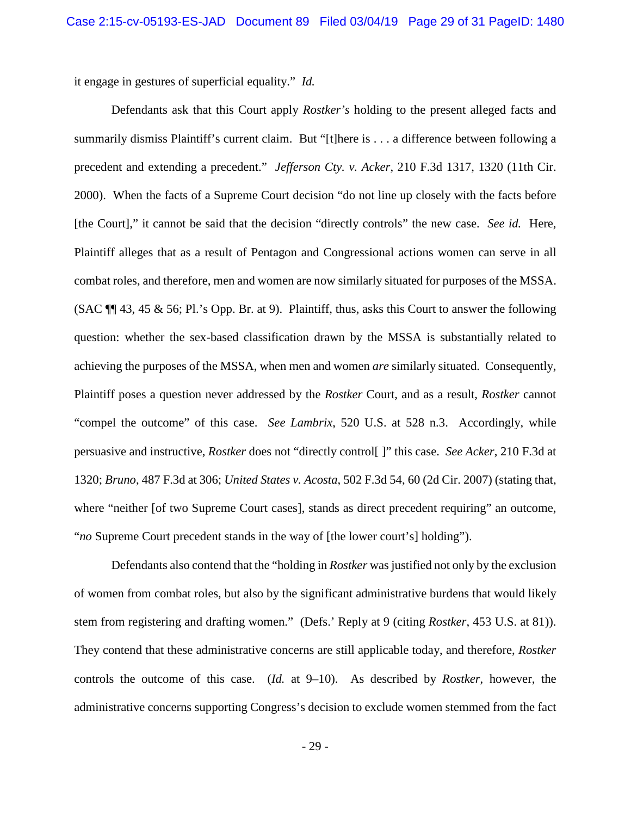it engage in gestures of superficial equality." *Id.*

Defendants ask that this Court apply *Rostker's* holding to the present alleged facts and summarily dismiss Plaintiff's current claim. But "[t]here is . . . a difference between following a precedent and extending a precedent." *Jefferson Cty. v. Acker*, 210 F.3d 1317, 1320 (11th Cir. 2000). When the facts of a Supreme Court decision "do not line up closely with the facts before [the Court]," it cannot be said that the decision "directly controls" the new case. *See id.* Here, Plaintiff alleges that as a result of Pentagon and Congressional actions women can serve in all combat roles, and therefore, men and women are now similarly situated for purposes of the MSSA. (SAC  $\P$  43, 45 & 56; Pl.'s Opp. Br. at 9). Plaintiff, thus, asks this Court to answer the following question: whether the sex-based classification drawn by the MSSA is substantially related to achieving the purposes of the MSSA, when men and women *are* similarly situated. Consequently, Plaintiff poses a question never addressed by the *Rostker* Court, and as a result, *Rostker* cannot "compel the outcome" of this case. *See Lambrix*, 520 U.S. at 528 n.3. Accordingly, while persuasive and instructive, *Rostker* does not "directly control[ ]" this case. *See Acker*, 210 F.3d at 1320; *Bruno*, 487 F.3d at 306; *United States v. Acosta*, 502 F.3d 54, 60 (2d Cir. 2007) (stating that, where "neither [of two Supreme Court cases], stands as direct precedent requiring" an outcome, "*no* Supreme Court precedent stands in the way of [the lower court's] holding").

Defendants also contend that the "holding in *Rostker* was justified not only by the exclusion of women from combat roles, but also by the significant administrative burdens that would likely stem from registering and drafting women." (Defs.' Reply at 9 (citing *Rostker*, 453 U.S. at 81)). They contend that these administrative concerns are still applicable today, and therefore, *Rostker* controls the outcome of this case. (*Id.* at 9–10). As described by *Rostker*, however, the administrative concerns supporting Congress's decision to exclude women stemmed from the fact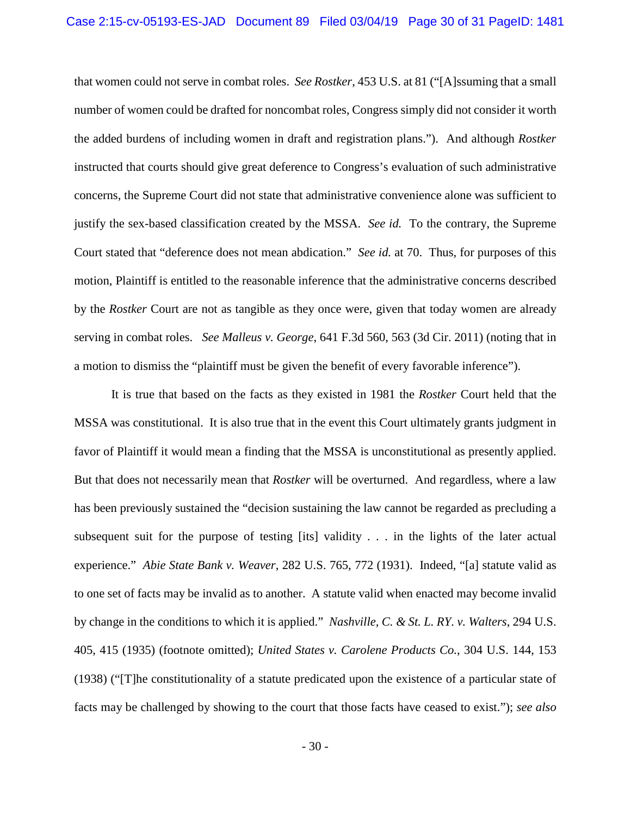that women could not serve in combat roles. *See Rostker*, 453 U.S. at 81 ("[A]ssuming that a small number of women could be drafted for noncombat roles, Congress simply did not consider it worth the added burdens of including women in draft and registration plans."). And although *Rostker* instructed that courts should give great deference to Congress's evaluation of such administrative concerns, the Supreme Court did not state that administrative convenience alone was sufficient to justify the sex-based classification created by the MSSA. *See id.* To the contrary, the Supreme Court stated that "deference does not mean abdication." *See id.* at 70. Thus, for purposes of this motion, Plaintiff is entitled to the reasonable inference that the administrative concerns described by the *Rostker* Court are not as tangible as they once were, given that today women are already serving in combat roles. *See Malleus v. George*, 641 F.3d 560, 563 (3d Cir. 2011) (noting that in a motion to dismiss the "plaintiff must be given the benefit of every favorable inference").

It is true that based on the facts as they existed in 1981 the *Rostker* Court held that the MSSA was constitutional. It is also true that in the event this Court ultimately grants judgment in favor of Plaintiff it would mean a finding that the MSSA is unconstitutional as presently applied. But that does not necessarily mean that *Rostker* will be overturned. And regardless, where a law has been previously sustained the "decision sustaining the law cannot be regarded as precluding a subsequent suit for the purpose of testing [its] validity . . . in the lights of the later actual experience." *Abie State Bank v. Weaver*, 282 U.S. 765, 772 (1931). Indeed, "[a] statute valid as to one set of facts may be invalid as to another. A statute valid when enacted may become invalid by change in the conditions to which it is applied." *Nashville, C. & St. L. RY. v. Walters*, 294 U.S. 405, 415 (1935) (footnote omitted); *United States v. Carolene Products Co.*, 304 U.S. 144, 153 (1938) ("[T]he constitutionality of a statute predicated upon the existence of a particular state of facts may be challenged by showing to the court that those facts have ceased to exist."); *see also*